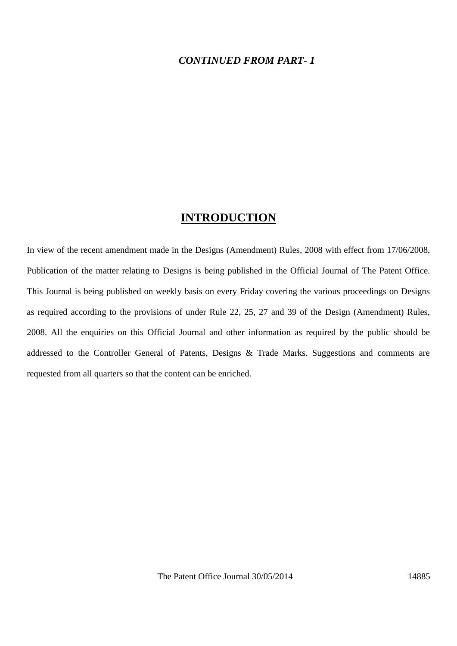#### *CONTINUED FROM PART- 1*

## **INTRODUCTION**

In view of the recent amendment made in the Designs (Amendment) Rules, 2008 with effect from 17/06/2008, Publication of the matter relating to Designs is being published in the Official Journal of The Patent Office. This Journal is being published on weekly basis on every Friday covering the various proceedings on Designs as required according to the provisions of under Rule 22, 25, 27 and 39 of the Design (Amendment) Rules, 2008. All the enquiries on this Official Journal and other information as required by the public should be addressed to the Controller General of Patents, Designs & Trade Marks. Suggestions and comments are requested from all quarters so that the content can be enriched.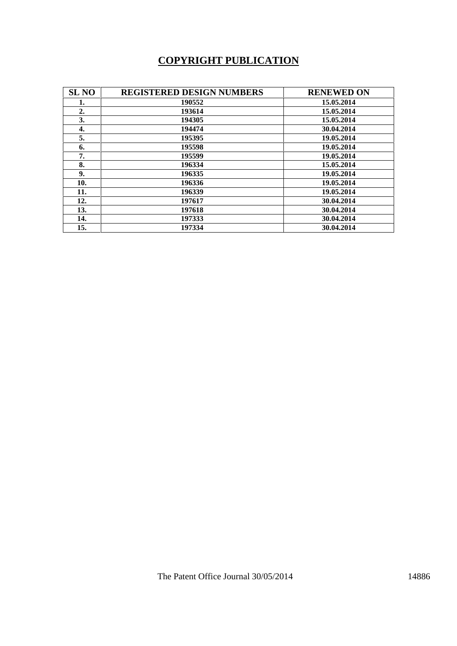# **COPYRIGHT PUBLICATION**

| <b>SL NO</b>     | <b>REGISTERED DESIGN NUMBERS</b> | <b>RENEWED ON</b> |
|------------------|----------------------------------|-------------------|
| 1.               | 190552                           | 15.05.2014        |
| $\overline{2}$ . | 193614                           | 15.05.2014        |
| 3.               | 194305                           | 15.05.2014        |
| 4.               | 194474                           | 30.04.2014        |
| 5.               | 195395                           | 19.05.2014        |
| 6.               | 195598                           | 19.05.2014        |
| 7.               | 195599                           | 19.05.2014        |
| 8.               | 196334                           | 15.05.2014        |
| 9.               | 196335                           | 19.05.2014        |
| 10.              | 196336                           | 19.05.2014        |
| 11.              | 196339                           | 19.05.2014        |
| 12.              | 197617                           | 30.04.2014        |
| 13.              | 197618                           | 30.04.2014        |
| 14.              | 197333                           | 30.04.2014        |
| 15.              | 197334                           | 30.04.2014        |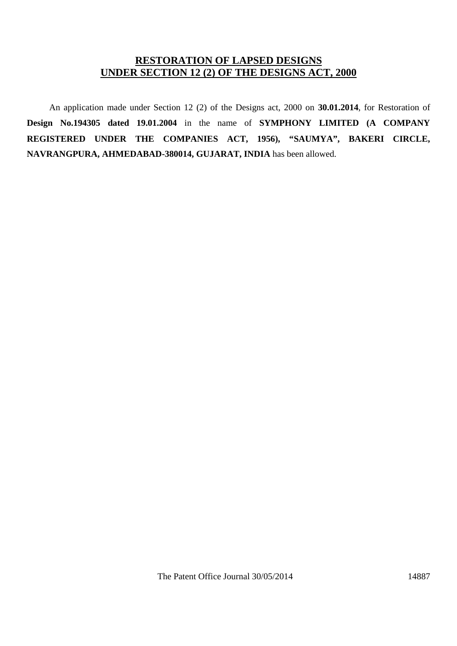## **RESTORATION OF LAPSED DESIGNS UNDER SECTION 12 (2) OF THE DESIGNS ACT, 2000**

 An application made under Section 12 (2) of the Designs act, 2000 on **30.01.2014**, for Restoration of **Design No.194305 dated 19.01.2004** in the name of **SYMPHONY LIMITED (A COMPANY REGISTERED UNDER THE COMPANIES ACT, 1956), "SAUMYA", BAKERI CIRCLE, NAVRANGPURA, AHMEDABAD-380014, GUJARAT, INDIA** has been allowed.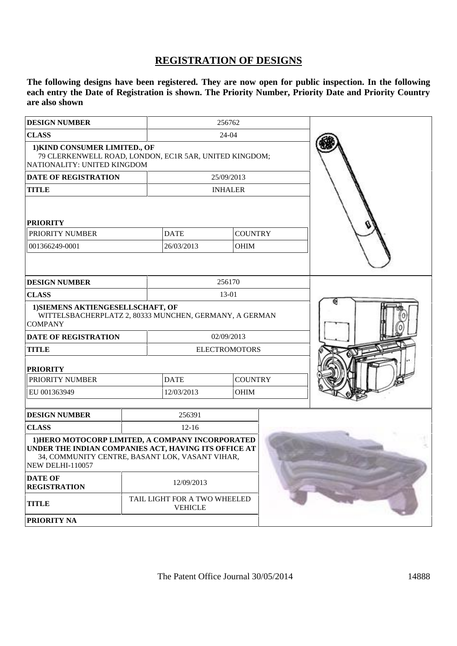## **REGISTRATION OF DESIGNS**

**The following designs have been registered. They are now open for public inspection. In the following each entry the Date of Registration is shown. The Priority Number, Priority Date and Priority Country are also shown**

| <b>DESIGN NUMBER</b>                                                                                                                                                                                                                            |  | 256762                                                       |                |  |  |
|-------------------------------------------------------------------------------------------------------------------------------------------------------------------------------------------------------------------------------------------------|--|--------------------------------------------------------------|----------------|--|--|
| <b>CLASS</b>                                                                                                                                                                                                                                    |  | 24-04                                                        |                |  |  |
| 1) KIND CONSUMER LIMITED., OF<br>79 CLERKENWELL ROAD, LONDON, EC1R 5AR, UNITED KINGDOM;<br>NATIONALITY: UNITED KINGDOM                                                                                                                          |  |                                                              |                |  |  |
| <b>DATE OF REGISTRATION</b>                                                                                                                                                                                                                     |  |                                                              | 25/09/2013     |  |  |
| <b>TITLE</b>                                                                                                                                                                                                                                    |  |                                                              | <b>INHALER</b> |  |  |
| <b>PRIORITY</b>                                                                                                                                                                                                                                 |  |                                                              |                |  |  |
| PRIORITY NUMBER                                                                                                                                                                                                                                 |  | <b>DATE</b>                                                  | <b>COUNTRY</b> |  |  |
| 001366249-0001                                                                                                                                                                                                                                  |  | 26/03/2013                                                   | <b>OHIM</b>    |  |  |
|                                                                                                                                                                                                                                                 |  |                                                              |                |  |  |
| <b>DESIGN NUMBER</b>                                                                                                                                                                                                                            |  |                                                              | 256170         |  |  |
| <b>CLASS</b>                                                                                                                                                                                                                                    |  | 13-01                                                        |                |  |  |
| 1) SIEMENS AKTIENGESELLSCHAFT, OF<br>WITTELSBACHERPLATZ 2, 80333 MUNCHEN, GERMANY, A GERMAN<br><b>COMPANY</b>                                                                                                                                   |  |                                                              |                |  |  |
| <b>DATE OF REGISTRATION</b>                                                                                                                                                                                                                     |  | 02/09/2013                                                   |                |  |  |
| <b>TITLE</b>                                                                                                                                                                                                                                    |  | <b>ELECTROMOTORS</b>                                         |                |  |  |
| <b>PRIORITY</b>                                                                                                                                                                                                                                 |  |                                                              |                |  |  |
| PRIORITY NUMBER                                                                                                                                                                                                                                 |  | <b>DATE</b><br><b>COUNTRY</b>                                |                |  |  |
| EU 001363949                                                                                                                                                                                                                                    |  | 12/03/2013                                                   | <b>OHIM</b>    |  |  |
| <b>DESIGN NUMBER</b>                                                                                                                                                                                                                            |  | 256391                                                       |                |  |  |
| <b>CLASS</b>                                                                                                                                                                                                                                    |  | $12-16$                                                      |                |  |  |
| 1) HERO MOTOCORP LIMITED, A COMPANY INCORPORATED<br>UNDER THE INDIAN COMPANIES ACT, HAVING ITS OFFICE AT<br>34, COMMUNITY CENTRE, BASANT LOK, VASANT VIHAR,<br><b>NEW DELHI-110057</b><br><b>DATE OF</b><br><b>REGISTRATION</b><br><b>TITLE</b> |  | 12/09/2013<br>TAIL LIGHT FOR A TWO WHEELED<br><b>VEHICLE</b> |                |  |  |
| <b>PRIORITY NA</b>                                                                                                                                                                                                                              |  |                                                              |                |  |  |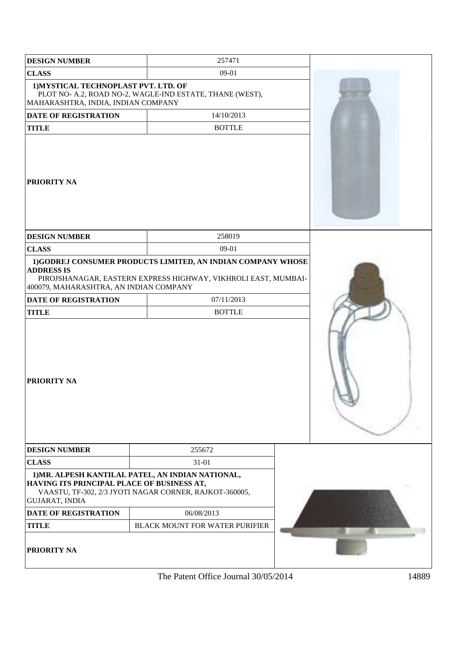| <b>DESIGN NUMBER</b>                                                       | 257471                                                                                                                        |  |
|----------------------------------------------------------------------------|-------------------------------------------------------------------------------------------------------------------------------|--|
| <b>CLASS</b>                                                               |                                                                                                                               |  |
| 1) MYSTICAL TECHNOPLAST PVT. LTD. OF<br>MAHARASHTRA, INDIA, INDIAN COMPANY | PLOT NO- A.2, ROAD NO-2, WAGLE-IND ESTATE, THANE (WEST),                                                                      |  |
| <b>DATE OF REGISTRATION</b>                                                | 14/10/2013                                                                                                                    |  |
| <b>TITLE</b>                                                               | <b>BOTTLE</b>                                                                                                                 |  |
| <b>PRIORITY NA</b>                                                         |                                                                                                                               |  |
| <b>DESIGN NUMBER</b>                                                       | 258019                                                                                                                        |  |
| <b>CLASS</b>                                                               | 09-01                                                                                                                         |  |
| <b>ADDRESS IS</b><br>400079, MAHARASHTRA, AN INDIAN COMPANY                | 1)GODREJ CONSUMER PRODUCTS LIMITED, AN INDIAN COMPANY WHOSE<br>PIROJSHANAGAR, EASTERN EXPRESS HIGHWAY, VIKHROLI EAST, MUMBAI- |  |
| <b>DATE OF REGISTRATION</b>                                                | 07/11/2013                                                                                                                    |  |
| <b>TITLE</b>                                                               | <b>BOTTLE</b>                                                                                                                 |  |
| <b>PRIORITY NA</b>                                                         |                                                                                                                               |  |
| <b>DESIGN NUMBER</b>                                                       | 255672                                                                                                                        |  |
| <b>CLASS</b>                                                               | 31-01                                                                                                                         |  |
| HAVING ITS PRINCIPAL PLACE OF BUSINESS AT,<br><b>GUJARAT, INDIA</b>        | 1) MR. ALPESH KANTILAL PATEL, AN INDIAN NATIONAL,<br>VAASTU, TF-302, 2/3 JYOTI NAGAR CORNER, RAJKOT-360005,                   |  |
| DATE OF REGISTRATION                                                       | 06/08/2013                                                                                                                    |  |
| <b>TITLE</b>                                                               | BLACK MOUNT FOR WATER PURIFIER                                                                                                |  |
| <b>PRIORITY NA</b>                                                         |                                                                                                                               |  |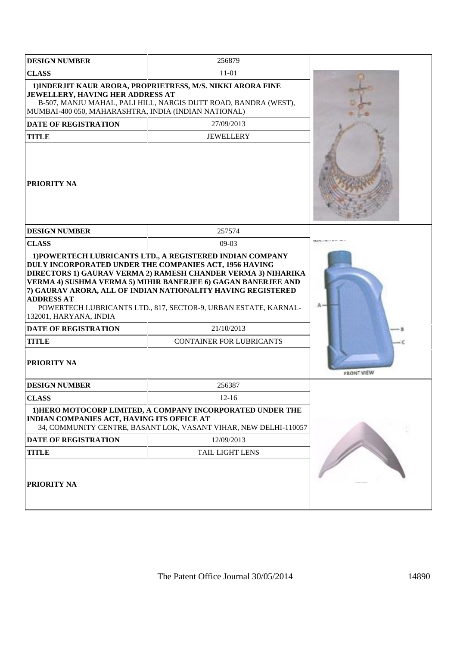| <b>DESIGN NUMBER</b>                                                                     | 256879                                                                                                                                                                                                                                                                                                                      |                   |
|------------------------------------------------------------------------------------------|-----------------------------------------------------------------------------------------------------------------------------------------------------------------------------------------------------------------------------------------------------------------------------------------------------------------------------|-------------------|
| <b>CLASS</b>                                                                             | 11-01                                                                                                                                                                                                                                                                                                                       |                   |
| JEWELLERY, HAVING HER ADDRESS AT<br>MUMBAI-400 050, MAHARASHTRA, INDIA (INDIAN NATIONAL) | 1) INDERJIT KAUR ARORA, PROPRIETRESS, M/S. NIKKI ARORA FINE<br>B-507, MANJU MAHAL, PALI HILL, NARGIS DUTT ROAD, BANDRA (WEST),                                                                                                                                                                                              |                   |
| <b>DATE OF REGISTRATION</b>                                                              | 27/09/2013                                                                                                                                                                                                                                                                                                                  |                   |
| <b>TITLE</b>                                                                             | <b>JEWELLERY</b>                                                                                                                                                                                                                                                                                                            |                   |
| PRIORITY NA                                                                              |                                                                                                                                                                                                                                                                                                                             |                   |
| <b>DESIGN NUMBER</b>                                                                     | 257574                                                                                                                                                                                                                                                                                                                      |                   |
| <b>CLASS</b>                                                                             | $09-03$                                                                                                                                                                                                                                                                                                                     |                   |
| <b>ADDRESS AT</b><br>132001, HARYANA, INDIA                                              | DULY INCORPORATED UNDER THE COMPANIES ACT, 1956 HAVING<br>DIRECTORS 1) GAURAV VERMA 2) RAMESH CHANDER VERMA 3) NIHARIKA<br>VERMA 4) SUSHMA VERMA 5) MIHIR BANERJEE 6) GAGAN BANERJEE AND<br>7) GAURAV ARORA, ALL OF INDIAN NATIONALITY HAVING REGISTERED<br>POWERTECH LUBRICANTS LTD., 817, SECTOR-9, URBAN ESTATE, KARNAL- |                   |
| <b>DATE OF REGISTRATION</b>                                                              | 21/10/2013                                                                                                                                                                                                                                                                                                                  |                   |
| <b>TITLE</b><br>PRIORITY NA                                                              | <b>CONTAINER FOR LUBRICANTS</b>                                                                                                                                                                                                                                                                                             | <b>FRONT VIEW</b> |
| <b>DESIGN NUMBER</b>                                                                     | 256387                                                                                                                                                                                                                                                                                                                      |                   |
| <b>CLASS</b>                                                                             | $12 - 16$                                                                                                                                                                                                                                                                                                                   |                   |
| INDIAN COMPANIES ACT, HAVING ITS OFFICE AT                                               | 1) HERO MOTOCORP LIMITED, A COMPANY INCORPORATED UNDER THE<br>34, COMMUNITY CENTRE, BASANT LOK, VASANT VIHAR, NEW DELHI-110057                                                                                                                                                                                              |                   |
| <b>DATE OF REGISTRATION</b>                                                              | 12/09/2013                                                                                                                                                                                                                                                                                                                  |                   |
| <b>TITLE</b>                                                                             | <b>TAIL LIGHT LENS</b>                                                                                                                                                                                                                                                                                                      |                   |
| PRIORITY NA                                                                              |                                                                                                                                                                                                                                                                                                                             |                   |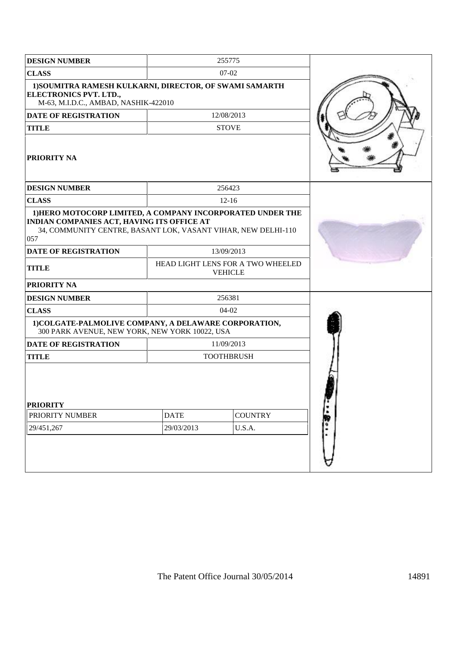| <b>DESIGN NUMBER</b>                                                                                                                                                             |              | 255775                                              |           |  |
|----------------------------------------------------------------------------------------------------------------------------------------------------------------------------------|--------------|-----------------------------------------------------|-----------|--|
| <b>CLASS</b>                                                                                                                                                                     |              | $07-02$                                             |           |  |
| 1) SOUMITRA RAMESH KULKARNI, DIRECTOR, OF SWAMI SAMARTH<br>ELECTRONICS PVT. LTD.,<br>M-63, M.I.D.C., AMBAD, NASHIK-422010                                                        |              |                                                     |           |  |
| <b>DATE OF REGISTRATION</b>                                                                                                                                                      |              | 12/08/2013                                          |           |  |
| <b>TITLE</b>                                                                                                                                                                     | <b>STOVE</b> |                                                     |           |  |
| <b>PRIORITY NA</b>                                                                                                                                                               |              |                                                     |           |  |
| <b>DESIGN NUMBER</b>                                                                                                                                                             |              | 256423                                              |           |  |
| <b>CLASS</b>                                                                                                                                                                     |              | $12 - 16$                                           |           |  |
| 1) HERO MOTOCORP LIMITED, A COMPANY INCORPORATED UNDER THE<br>INDIAN COMPANIES ACT, HAVING ITS OFFICE AT<br>34, COMMUNITY CENTRE, BASANT LOK, VASANT VIHAR, NEW DELHI-110<br>057 |              |                                                     |           |  |
| <b>DATE OF REGISTRATION</b>                                                                                                                                                      |              | 13/09/2013                                          |           |  |
| <b>TITLE</b>                                                                                                                                                                     |              | HEAD LIGHT LENS FOR A TWO WHEELED<br><b>VEHICLE</b> |           |  |
| <b>PRIORITY NA</b>                                                                                                                                                               |              |                                                     |           |  |
| <b>DESIGN NUMBER</b>                                                                                                                                                             |              | 256381                                              |           |  |
| <b>CLASS</b>                                                                                                                                                                     |              | $04 - 02$                                           |           |  |
| 1) COLGATE-PALMOLIVE COMPANY, A DELAWARE CORPORATION,<br>300 PARK AVENUE, NEW YORK, NEW YORK 10022, USA                                                                          |              |                                                     |           |  |
| <b>DATE OF REGISTRATION</b>                                                                                                                                                      |              | 11/09/2013                                          |           |  |
| <b>TITLE</b>                                                                                                                                                                     |              | <b>TOOTHBRUSH</b>                                   |           |  |
| <b>PRIORITY</b>                                                                                                                                                                  |              |                                                     | ĮΤ,<br>÷, |  |
| PRIORITY NUMBER                                                                                                                                                                  | <b>DATE</b>  | <b>COUNTRY</b>                                      | Ŗ         |  |
| 29/451,267                                                                                                                                                                       | 29/03/2013   | U.S.A.                                              |           |  |
|                                                                                                                                                                                  |              |                                                     |           |  |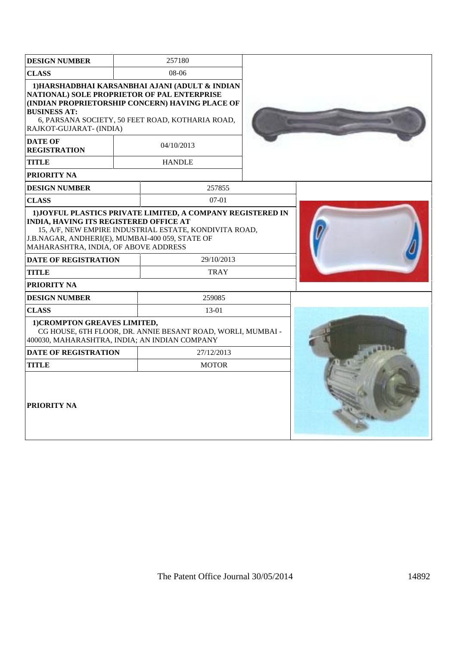| <b>DESIGN NUMBER</b>                                                                                                                     |  | 257180                                                                                                                                                 |  |  |
|------------------------------------------------------------------------------------------------------------------------------------------|--|--------------------------------------------------------------------------------------------------------------------------------------------------------|--|--|
| <b>CLASS</b>                                                                                                                             |  | $08-06$                                                                                                                                                |  |  |
| NATIONAL) SOLE PROPRIETOR OF PAL ENTERPRISE<br><b>BUSINESS AT:</b><br>RAJKOT-GUJARAT- (INDIA)                                            |  | 1) HARSHADBHAI KARSANBHAI AJANI (ADULT & INDIAN<br>(INDIAN PROPRIETORSHIP CONCERN) HAVING PLACE OF<br>6, PARSANA SOCIETY, 50 FEET ROAD, KOTHARIA ROAD, |  |  |
| <b>DATE OF</b><br><b>REGISTRATION</b>                                                                                                    |  | 04/10/2013                                                                                                                                             |  |  |
| <b>TITLE</b>                                                                                                                             |  | <b>HANDLE</b>                                                                                                                                          |  |  |
| <b>PRIORITY NA</b>                                                                                                                       |  |                                                                                                                                                        |  |  |
| <b>DESIGN NUMBER</b>                                                                                                                     |  | 257855                                                                                                                                                 |  |  |
| <b>CLASS</b>                                                                                                                             |  | $07-01$                                                                                                                                                |  |  |
| <b>INDIA, HAVING ITS REGISTERED OFFICE AT</b><br>J.B.NAGAR, ANDHERI(E), MUMBAI-400 059, STATE OF<br>MAHARASHTRA, INDIA, OF ABOVE ADDRESS |  | 1) JOYFUL PLASTICS PRIVATE LIMITED, A COMPANY REGISTERED IN<br>15, A/F, NEW EMPIRE INDUSTRIAL ESTATE, KONDIVITA ROAD,                                  |  |  |
| <b>DATE OF REGISTRATION</b>                                                                                                              |  | 29/10/2013                                                                                                                                             |  |  |
| <b>TITLE</b>                                                                                                                             |  | <b>TRAY</b>                                                                                                                                            |  |  |
| <b>PRIORITY NA</b>                                                                                                                       |  |                                                                                                                                                        |  |  |
| <b>DESIGN NUMBER</b>                                                                                                                     |  | 259085                                                                                                                                                 |  |  |
| <b>CLASS</b>                                                                                                                             |  | $13-01$                                                                                                                                                |  |  |
| 1) CROMPTON GREAVES LIMITED,<br>400030, MAHARASHTRA, INDIA; AN INDIAN COMPANY                                                            |  | CG HOUSE, 6TH FLOOR, DR. ANNIE BESANT ROAD, WORLI, MUMBAI -                                                                                            |  |  |
| <b>DATE OF REGISTRATION</b>                                                                                                              |  | 27/12/2013                                                                                                                                             |  |  |
| <b>TITLE</b>                                                                                                                             |  | <b>MOTOR</b>                                                                                                                                           |  |  |
| <b>PRIORITY NA</b>                                                                                                                       |  |                                                                                                                                                        |  |  |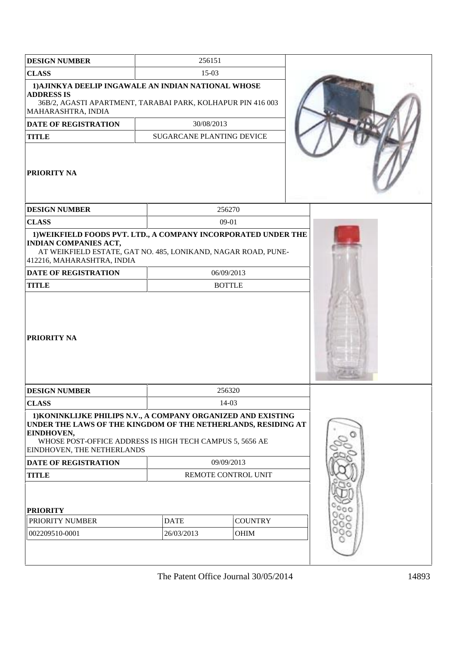| <b>DESIGN NUMBER</b>                                                                                                                                                                                                                   | 256151                    |                               |  |
|----------------------------------------------------------------------------------------------------------------------------------------------------------------------------------------------------------------------------------------|---------------------------|-------------------------------|--|
| <b>CLASS</b>                                                                                                                                                                                                                           |                           |                               |  |
| 1) AJINKYA DEELIP INGAWALE AN INDIAN NATIONAL WHOSE<br><b>ADDRESS IS</b><br>36B/2, AGASTI APARTMENT, TARABAI PARK, KOLHAPUR PIN 416 003<br>MAHARASHTRA, INDIA                                                                          |                           |                               |  |
| <b>DATE OF REGISTRATION</b>                                                                                                                                                                                                            | 30/08/2013                |                               |  |
| <b>TITLE</b>                                                                                                                                                                                                                           | SUGARCANE PLANTING DEVICE |                               |  |
| <b>PRIORITY NA</b>                                                                                                                                                                                                                     |                           |                               |  |
| <b>DESIGN NUMBER</b>                                                                                                                                                                                                                   |                           | 256270                        |  |
| <b>CLASS</b>                                                                                                                                                                                                                           |                           | 09-01                         |  |
| 1) WEIKFIELD FOODS PVT. LTD., A COMPANY INCORPORATED UNDER THE<br><b>INDIAN COMPANIES ACT,</b><br>AT WEIKFIELD ESTATE, GAT NO. 485, LONIKAND, NAGAR ROAD, PUNE-<br>412216, MAHARASHTRA, INDIA                                          |                           |                               |  |
| <b>DATE OF REGISTRATION</b>                                                                                                                                                                                                            |                           | 06/09/2013                    |  |
| <b>TITLE</b>                                                                                                                                                                                                                           |                           | <b>BOTTLE</b>                 |  |
| <b>PRIORITY NA</b>                                                                                                                                                                                                                     |                           |                               |  |
| <b>DESIGN NUMBER</b>                                                                                                                                                                                                                   |                           | 256320                        |  |
| <b>CLASS</b>                                                                                                                                                                                                                           |                           | 14-03                         |  |
| 1) KONINKLIJKE PHILIPS N.V., A COMPANY ORGANIZED AND EXISTING<br>UNDER THE LAWS OF THE KINGDOM OF THE NETHERLANDS, RESIDING AT<br>EINDHOVEN,<br>WHOSE POST-OFFICE ADDRESS IS HIGH TECH CAMPUS 5, 5656 AE<br>EINDHOVEN, THE NETHERLANDS |                           |                               |  |
| <b>DATE OF REGISTRATION</b>                                                                                                                                                                                                            |                           | 09/09/2013                    |  |
| <b>TITLE</b>                                                                                                                                                                                                                           |                           | REMOTE CONTROL UNIT           |  |
| <b>PRIORITY</b><br>PRIORITY NUMBER<br>002209510-0001                                                                                                                                                                                   | <b>DATE</b><br>26/03/2013 | <b>COUNTRY</b><br><b>OHIM</b> |  |
|                                                                                                                                                                                                                                        |                           |                               |  |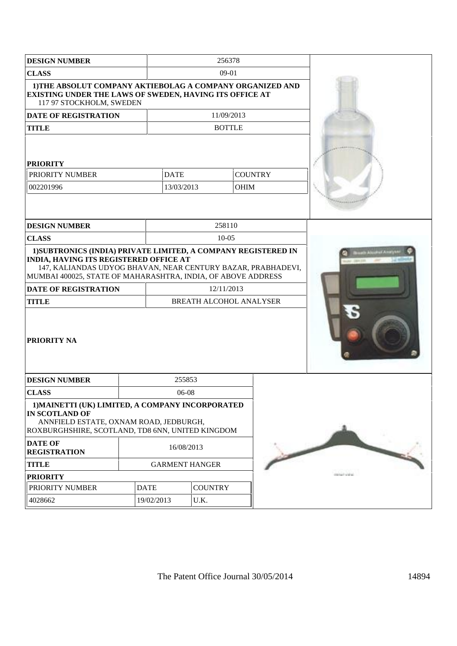| <b>DESIGN NUMBER</b>                                                                                                                                                                                                                                                                                                                         |             | 256378                                                     |                         |  |                           |
|----------------------------------------------------------------------------------------------------------------------------------------------------------------------------------------------------------------------------------------------------------------------------------------------------------------------------------------------|-------------|------------------------------------------------------------|-------------------------|--|---------------------------|
| <b>CLASS</b>                                                                                                                                                                                                                                                                                                                                 |             | 09-01                                                      |                         |  |                           |
| 1) THE ABSOLUT COMPANY AKTIEBOLAG A COMPANY ORGANIZED AND<br>EXISTING UNDER THE LAWS OF SWEDEN, HAVING ITS OFFICE AT<br>117 97 STOCKHOLM, SWEDEN                                                                                                                                                                                             |             |                                                            |                         |  |                           |
| DATE OF REGISTRATION                                                                                                                                                                                                                                                                                                                         |             |                                                            | 11/09/2013              |  |                           |
| <b>TITLE</b>                                                                                                                                                                                                                                                                                                                                 |             |                                                            | <b>BOTTLE</b>           |  |                           |
| <b>PRIORITY</b><br>PRIORITY NUMBER<br>002201996                                                                                                                                                                                                                                                                                              |             | <b>DATE</b><br><b>COUNTRY</b><br>13/03/2013<br><b>OHIM</b> |                         |  |                           |
| <b>DESIGN NUMBER</b>                                                                                                                                                                                                                                                                                                                         |             |                                                            | 258110                  |  |                           |
| <b>CLASS</b>                                                                                                                                                                                                                                                                                                                                 |             |                                                            | $10 - 05$               |  |                           |
| 1) SUBTRONICS (INDIA) PRIVATE LIMITED, A COMPANY REGISTERED IN<br><b>INDIA, HAVING ITS REGISTERED OFFICE AT</b><br>147, KALIANDAS UDYOG BHAVAN, NEAR CENTURY BAZAR, PRABHADEVI,<br>MUMBAI 400025, STATE OF MAHARASHTRA, INDIA, OF ABOVE ADDRESS<br><b>DATE OF REGISTRATION</b><br><b>TITLE</b><br><b>PRIORITY NA</b><br><b>DESIGN NUMBER</b> | 255853      | 12/11/2013                                                 | BREATH ALCOHOL ANALYSER |  |                           |
|                                                                                                                                                                                                                                                                                                                                              |             |                                                            |                         |  |                           |
| <b>CLASS</b><br>1) MAINETTI (UK) LIMITED, A COMPANY INCORPORATED<br><b>IN SCOTLAND OF</b><br>ANNFIELD ESTATE, OXNAM ROAD, JEDBURGH,<br>ROXBURGHSHIRE, SCOTLAND, TD8 6NN, UNITED KINGDOM                                                                                                                                                      |             | $06-08$                                                    |                         |  |                           |
| <b>DATE OF</b><br>16/08/2013<br><b>REGISTRATION</b>                                                                                                                                                                                                                                                                                          |             |                                                            |                         |  |                           |
| <b>TITLE</b>                                                                                                                                                                                                                                                                                                                                 |             | <b>GARMENT HANGER</b>                                      |                         |  |                           |
| <b>PRIORITY</b>                                                                                                                                                                                                                                                                                                                              |             |                                                            |                         |  | <b>EXCHANGE CONSTRUCT</b> |
| PRIORITY NUMBER                                                                                                                                                                                                                                                                                                                              | <b>DATE</b> |                                                            | <b>COUNTRY</b>          |  |                           |
| 4028662                                                                                                                                                                                                                                                                                                                                      | 19/02/2013  |                                                            | U.K.                    |  |                           |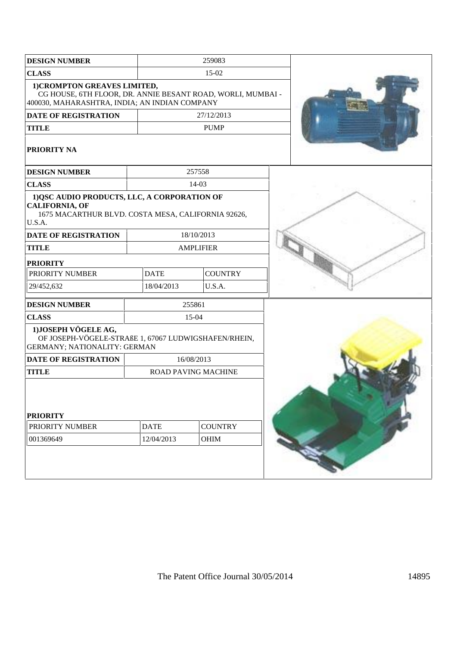| <b>DESIGN NUMBER</b>                                                                                                                         |                           | 259083                     |  |  |  |
|----------------------------------------------------------------------------------------------------------------------------------------------|---------------------------|----------------------------|--|--|--|
| <b>CLASS</b>                                                                                                                                 |                           | $15-02$                    |  |  |  |
| 1) CROMPTON GREAVES LIMITED,<br>CG HOUSE, 6TH FLOOR, DR. ANNIE BESANT ROAD, WORLI, MUMBAI -<br>400030, MAHARASHTRA, INDIA; AN INDIAN COMPANY |                           |                            |  |  |  |
| <b>DATE OF REGISTRATION</b>                                                                                                                  |                           | 27/12/2013                 |  |  |  |
| <b>TITLE</b>                                                                                                                                 |                           | <b>PUMP</b>                |  |  |  |
| <b>PRIORITY NA</b>                                                                                                                           |                           |                            |  |  |  |
| <b>DESIGN NUMBER</b>                                                                                                                         |                           | 257558                     |  |  |  |
| <b>CLASS</b>                                                                                                                                 |                           | $14-03$                    |  |  |  |
| 1) QSC AUDIO PRODUCTS, LLC, A CORPORATION OF<br><b>CALIFORNIA, OF</b><br>1675 MACARTHUR BLVD. COSTA MESA, CALIFORNIA 92626,<br>U.S.A.        |                           |                            |  |  |  |
| <b>DATE OF REGISTRATION</b>                                                                                                                  |                           | 18/10/2013                 |  |  |  |
| <b>TITLE</b>                                                                                                                                 |                           | <b>AMPLIFIER</b>           |  |  |  |
| <b>PRIORITY</b>                                                                                                                              |                           |                            |  |  |  |
| PRIORITY NUMBER                                                                                                                              | <b>DATE</b>               | <b>COUNTRY</b>             |  |  |  |
| 29/452,632                                                                                                                                   | 18/04/2013                | U.S.A.                     |  |  |  |
| <b>DESIGN NUMBER</b>                                                                                                                         |                           | 255861                     |  |  |  |
| <b>CLASS</b>                                                                                                                                 |                           | 15-04                      |  |  |  |
| 1) JOSEPH VÖGELE AG,<br>OF JOSEPH-VÖGELE-STRAßE 1, 67067 LUDWIGSHAFEN/RHEIN,<br><b>GERMANY; NATIONALITY: GERMAN</b>                          |                           |                            |  |  |  |
| <b>DATE OF REGISTRATION</b>                                                                                                                  |                           | 16/08/2013                 |  |  |  |
| <b>TITLE</b>                                                                                                                                 |                           | <b>ROAD PAVING MACHINE</b> |  |  |  |
| <b>PRIORITY</b><br>PRIORITY NUMBER<br>001369649                                                                                              | <b>DATE</b><br>12/04/2013 | <b>COUNTRY</b><br>OHIM     |  |  |  |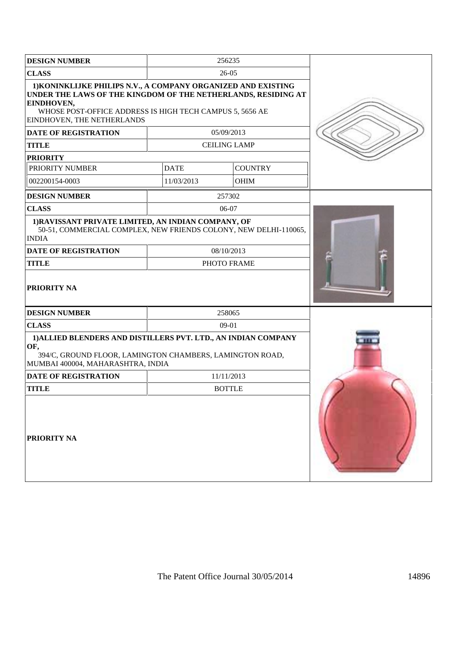| <b>DESIGN NUMBER</b>                                                                                                                                                                                                                   |             | 256235              |  |
|----------------------------------------------------------------------------------------------------------------------------------------------------------------------------------------------------------------------------------------|-------------|---------------------|--|
| <b>CLASS</b>                                                                                                                                                                                                                           |             |                     |  |
| 1) KONINKLIJKE PHILIPS N.V., A COMPANY ORGANIZED AND EXISTING<br>UNDER THE LAWS OF THE KINGDOM OF THE NETHERLANDS, RESIDING AT<br>EINDHOVEN,<br>WHOSE POST-OFFICE ADDRESS IS HIGH TECH CAMPUS 5, 5656 AE<br>EINDHOVEN, THE NETHERLANDS |             |                     |  |
| <b>DATE OF REGISTRATION</b>                                                                                                                                                                                                            |             | 05/09/2013          |  |
| <b>TITLE</b>                                                                                                                                                                                                                           |             | <b>CEILING LAMP</b> |  |
| <b>PRIORITY</b>                                                                                                                                                                                                                        |             |                     |  |
| PRIORITY NUMBER                                                                                                                                                                                                                        | <b>DATE</b> | <b>COUNTRY</b>      |  |
| 002200154-0003                                                                                                                                                                                                                         | 11/03/2013  | OHIM                |  |
| <b>DESIGN NUMBER</b>                                                                                                                                                                                                                   |             | 257302              |  |
| <b>CLASS</b>                                                                                                                                                                                                                           |             | 06-07               |  |
| 1) RAVISSANT PRIVATE LIMITED, AN INDIAN COMPANY, OF<br>50-51, COMMERCIAL COMPLEX, NEW FRIENDS COLONY, NEW DELHI-110065,<br><b>INDIA</b>                                                                                                |             |                     |  |
| <b>DATE OF REGISTRATION</b>                                                                                                                                                                                                            |             | 08/10/2013          |  |
| <b>TITLE</b>                                                                                                                                                                                                                           |             | PHOTO FRAME         |  |
| <b>PRIORITY NA</b>                                                                                                                                                                                                                     |             |                     |  |
| <b>DESIGN NUMBER</b>                                                                                                                                                                                                                   |             | 258065              |  |
| <b>CLASS</b>                                                                                                                                                                                                                           |             | $09-01$             |  |
| 1) ALLIED BLENDERS AND DISTILLERS PVT. LTD., AN INDIAN COMPANY<br>OF,<br>394/C, GROUND FLOOR, LAMINGTON CHAMBERS, LAMINGTON ROAD,<br>MUMBAI 400004, MAHARASHTRA, INDIA                                                                 |             |                     |  |
| <b>DATE OF REGISTRATION</b>                                                                                                                                                                                                            |             | 11/11/2013          |  |
| <b>TITLE</b>                                                                                                                                                                                                                           |             | <b>BOTTLE</b>       |  |
| <b>PRIORITY NA</b>                                                                                                                                                                                                                     |             |                     |  |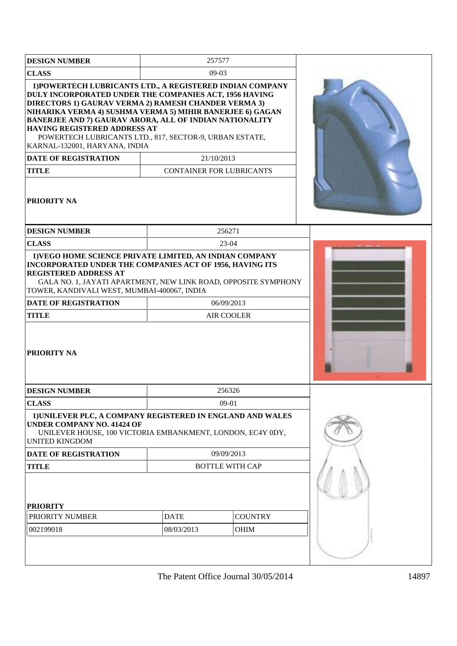| <b>DESIGN NUMBER</b>                                                                                                                                                                                                                                                                                                                                                                                                                   |                           | 257577                          |  |  |  |
|----------------------------------------------------------------------------------------------------------------------------------------------------------------------------------------------------------------------------------------------------------------------------------------------------------------------------------------------------------------------------------------------------------------------------------------|---------------------------|---------------------------------|--|--|--|
| <b>CLASS</b>                                                                                                                                                                                                                                                                                                                                                                                                                           | $09-03$                   |                                 |  |  |  |
| 1) POWERTECH LUBRICANTS LTD., A REGISTERED INDIAN COMPANY<br><b>DULY INCORPORATED UNDER THE COMPANIES ACT, 1956 HAVING</b><br>DIRECTORS 1) GAURAV VERMA 2) RAMESH CHANDER VERMA 3)<br>NIHARIKA VERMA 4) SUSHMA VERMA 5) MIHIR BANERJEE 6) GAGAN<br>BANERJEE AND 7) GAURAV ARORA, ALL OF INDIAN NATIONALITY<br>HAVING REGISTERED ADDRESS AT<br>POWERTECH LUBRICANTS LTD., 817, SECTOR-9, URBAN ESTATE,<br>KARNAL-132001, HARYANA, INDIA |                           |                                 |  |  |  |
| DATE OF REGISTRATION                                                                                                                                                                                                                                                                                                                                                                                                                   |                           | 21/10/2013                      |  |  |  |
| <b>TITLE</b>                                                                                                                                                                                                                                                                                                                                                                                                                           |                           | <b>CONTAINER FOR LUBRICANTS</b> |  |  |  |
| <b>PRIORITY NA</b>                                                                                                                                                                                                                                                                                                                                                                                                                     |                           |                                 |  |  |  |
| <b>DESIGN NUMBER</b>                                                                                                                                                                                                                                                                                                                                                                                                                   |                           | 256271                          |  |  |  |
| <b>CLASS</b>                                                                                                                                                                                                                                                                                                                                                                                                                           |                           | 23-04                           |  |  |  |
| 1) VEGO HOME SCIENCE PRIVATE LIMITED, AN INDIAN COMPANY<br>INCORPORATED UNDER THE COMPANIES ACT OF 1956, HAVING ITS<br><b>REGISTERED ADDRESS AT</b><br>GALA NO. 1, JAYATI APARTMENT, NEW LINK ROAD, OPPOSITE SYMPHONY<br>TOWER, KANDIVALI WEST, MUMBAI-400067, INDIA                                                                                                                                                                   |                           |                                 |  |  |  |
| <b>DATE OF REGISTRATION</b>                                                                                                                                                                                                                                                                                                                                                                                                            |                           | 06/09/2013                      |  |  |  |
| <b>TITLE</b>                                                                                                                                                                                                                                                                                                                                                                                                                           |                           | AIR COOLER                      |  |  |  |
| <b>PRIORITY NA</b>                                                                                                                                                                                                                                                                                                                                                                                                                     |                           |                                 |  |  |  |
| <b>DESIGN NUMBER</b>                                                                                                                                                                                                                                                                                                                                                                                                                   |                           | 256326                          |  |  |  |
| <b>CLASS</b>                                                                                                                                                                                                                                                                                                                                                                                                                           |                           | 09-01                           |  |  |  |
| 1) UNILEVER PLC, A COMPANY REGISTERED IN ENGLAND AND WALES<br><b>UNDER COMPANY NO. 41424 OF</b><br>UNILEVER HOUSE, 100 VICTORIA EMBANKMENT, LONDON, EC4Y 0DY,<br>UNITED KINGDOM                                                                                                                                                                                                                                                        |                           |                                 |  |  |  |
| <b>DATE OF REGISTRATION</b>                                                                                                                                                                                                                                                                                                                                                                                                            |                           | 09/09/2013                      |  |  |  |
| <b>TITLE</b>                                                                                                                                                                                                                                                                                                                                                                                                                           | <b>BOTTLE WITH CAP</b>    |                                 |  |  |  |
| <b>PRIORITY</b><br>PRIORITY NUMBER<br>002199018                                                                                                                                                                                                                                                                                                                                                                                        | <b>DATE</b><br>08/03/2013 | <b>COUNTRY</b><br><b>OHIM</b>   |  |  |  |
|                                                                                                                                                                                                                                                                                                                                                                                                                                        |                           |                                 |  |  |  |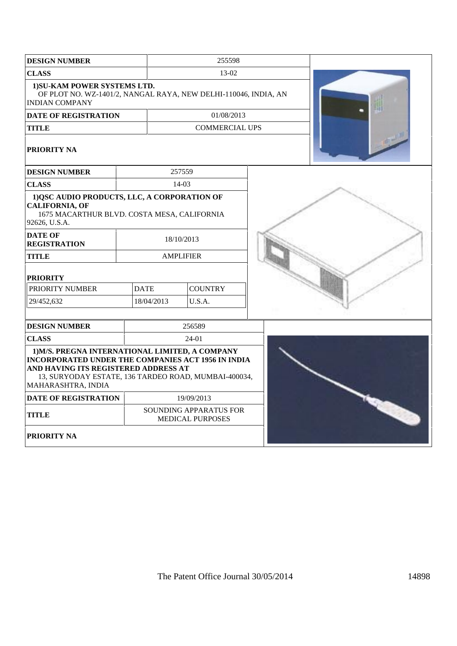| <b>DESIGN NUMBER</b>                                                                                                                                                                                                               |             | 255598                                            |                       |  |  |  |
|------------------------------------------------------------------------------------------------------------------------------------------------------------------------------------------------------------------------------------|-------------|---------------------------------------------------|-----------------------|--|--|--|
| <b>CLASS</b>                                                                                                                                                                                                                       |             | 13-02                                             |                       |  |  |  |
| 1) SU-KAM POWER SYSTEMS LTD.<br>OF PLOT NO. WZ-1401/2, NANGAL RAYA, NEW DELHI-110046, INDIA, AN<br><b>INDIAN COMPANY</b>                                                                                                           |             |                                                   |                       |  |  |  |
| <b>DATE OF REGISTRATION</b>                                                                                                                                                                                                        |             |                                                   | 01/08/2013            |  |  |  |
| <b>TITLE</b>                                                                                                                                                                                                                       |             |                                                   | <b>COMMERCIAL UPS</b> |  |  |  |
| <b>PRIORITY NA</b>                                                                                                                                                                                                                 |             |                                                   |                       |  |  |  |
| <b>DESIGN NUMBER</b>                                                                                                                                                                                                               |             |                                                   | 257559                |  |  |  |
| <b>CLASS</b>                                                                                                                                                                                                                       |             |                                                   | 14-03                 |  |  |  |
| 1) QSC AUDIO PRODUCTS, LLC, A CORPORATION OF<br><b>CALIFORNIA, OF</b><br>1675 MACARTHUR BLVD. COSTA MESA, CALIFORNIA<br>92626, U.S.A.                                                                                              |             |                                                   |                       |  |  |  |
| <b>DATE OF</b><br><b>REGISTRATION</b>                                                                                                                                                                                              |             | 18/10/2013                                        |                       |  |  |  |
| <b>TITLE</b>                                                                                                                                                                                                                       |             | <b>AMPLIFIER</b>                                  |                       |  |  |  |
| <b>PRIORITY</b>                                                                                                                                                                                                                    |             |                                                   |                       |  |  |  |
| PRIORITY NUMBER                                                                                                                                                                                                                    | <b>DATE</b> |                                                   | <b>COUNTRY</b>        |  |  |  |
| 29/452,632                                                                                                                                                                                                                         |             | 18/04/2013                                        | U.S.A.                |  |  |  |
|                                                                                                                                                                                                                                    |             |                                                   |                       |  |  |  |
| <b>DESIGN NUMBER</b>                                                                                                                                                                                                               |             |                                                   | 256589                |  |  |  |
| <b>CLASS</b>                                                                                                                                                                                                                       |             |                                                   | $24-01$               |  |  |  |
| 1) M/S. PREGNA INTERNATIONAL LIMITED, A COMPANY<br><b>INCORPORATED UNDER THE COMPANIES ACT 1956 IN INDIA</b><br>AND HAVING ITS REGISTERED ADDRESS AT<br>13, SURYODAY ESTATE, 136 TARDEO ROAD, MUMBAI-400034,<br>MAHARASHTRA, INDIA |             |                                                   |                       |  |  |  |
| <b>DATE OF REGISTRATION</b>                                                                                                                                                                                                        |             | 19/09/2013                                        |                       |  |  |  |
| TITLE                                                                                                                                                                                                                              |             | SOUNDING APPARATUS FOR<br><b>MEDICAL PURPOSES</b> |                       |  |  |  |
| <b>PRIORITY NA</b>                                                                                                                                                                                                                 |             |                                                   |                       |  |  |  |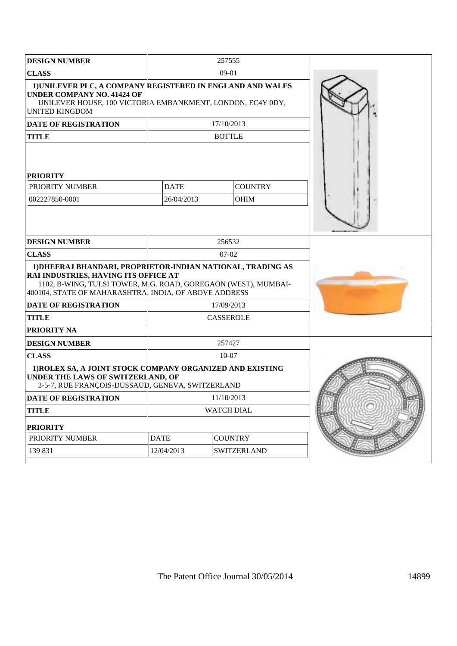| <b>DESIGN NUMBER</b>                                                                                                                                                                                                                  |                           | 257555                 |  |
|---------------------------------------------------------------------------------------------------------------------------------------------------------------------------------------------------------------------------------------|---------------------------|------------------------|--|
| <b>CLASS</b>                                                                                                                                                                                                                          |                           | $09-01$                |  |
| 1) UNILEVER PLC, A COMPANY REGISTERED IN ENGLAND AND WALES<br><b>UNDER COMPANY NO. 41424 OF</b><br>UNILEVER HOUSE, 100 VICTORIA EMBANKMENT, LONDON, EC4Y 0DY,<br><b>UNITED KINGDOM</b>                                                |                           |                        |  |
| <b>DATE OF REGISTRATION</b>                                                                                                                                                                                                           |                           | 17/10/2013             |  |
| <b>TITLE</b>                                                                                                                                                                                                                          |                           | <b>BOTTLE</b>          |  |
| <b>PRIORITY</b><br>PRIORITY NUMBER<br>002227850-0001                                                                                                                                                                                  | <b>DATE</b><br>26/04/2013 | <b>COUNTRY</b><br>OHIM |  |
|                                                                                                                                                                                                                                       |                           |                        |  |
| <b>DESIGN NUMBER</b>                                                                                                                                                                                                                  |                           | 256532                 |  |
| <b>CLASS</b>                                                                                                                                                                                                                          |                           | $07-02$                |  |
| 1) DHEERAJ BHANDARI, PROPRIETOR-INDIAN NATIONAL, TRADING AS<br><b>RAI INDUSTRIES, HAVING ITS OFFICE AT</b><br>1102, B-WING, TULSI TOWER, M.G. ROAD, GOREGAON (WEST), MUMBAI-<br>400104, STATE OF MAHARASHTRA, INDIA, OF ABOVE ADDRESS |                           |                        |  |
| <b>DATE OF REGISTRATION</b>                                                                                                                                                                                                           | 17/09/2013                |                        |  |
| <b>TITLE</b>                                                                                                                                                                                                                          | <b>CASSEROLE</b>          |                        |  |
| <b>PRIORITY NA</b>                                                                                                                                                                                                                    |                           |                        |  |
| <b>DESIGN NUMBER</b>                                                                                                                                                                                                                  |                           | 257427                 |  |
| <b>CLASS</b>                                                                                                                                                                                                                          |                           | $10-07$                |  |
| 1) ROLEX SA, A JOINT STOCK COMPANY ORGANIZED AND EXISTING<br>UNDER THE LAWS OF SWITZERLAND, OF<br>3-5-7, RUE FRANÇOIS-DUSSAUD, GENEVA, SWITZERLAND                                                                                    |                           |                        |  |
| DATE OF REGISTRATION                                                                                                                                                                                                                  |                           | 11/10/2013             |  |
| <b>TITLE</b>                                                                                                                                                                                                                          |                           | <b>WATCH DIAL</b>      |  |
| <b>PRIORITY</b>                                                                                                                                                                                                                       |                           |                        |  |
| PRIORITY NUMBER                                                                                                                                                                                                                       | <b>DATE</b>               | <b>COUNTRY</b>         |  |
| 139 831                                                                                                                                                                                                                               | 12/04/2013                | SWITZERLAND            |  |
|                                                                                                                                                                                                                                       |                           |                        |  |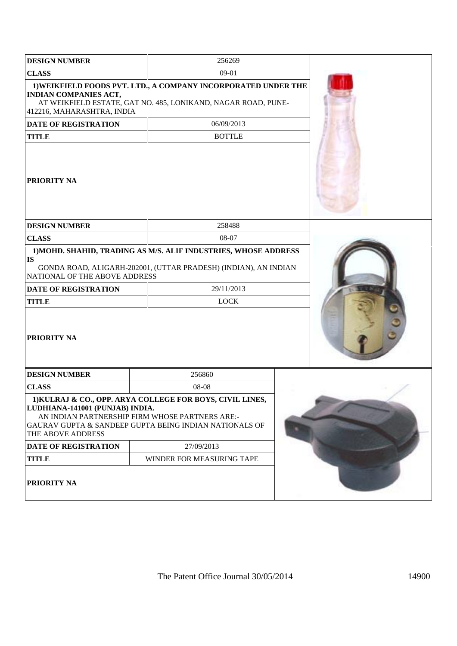| <b>DESIGN NUMBER</b>                                                                              | 256269                                                                                                                                                                 |  |
|---------------------------------------------------------------------------------------------------|------------------------------------------------------------------------------------------------------------------------------------------------------------------------|--|
| <b>CLASS</b>                                                                                      | 09-01                                                                                                                                                                  |  |
| <b>INDIAN COMPANIES ACT,</b><br>412216, MAHARASHTRA, INDIA                                        | 1) WEIKFIELD FOODS PVT. LTD., A COMPANY INCORPORATED UNDER THE<br>AT WEIKFIELD ESTATE, GAT NO. 485, LONIKAND, NAGAR ROAD, PUNE-                                        |  |
| <b>DATE OF REGISTRATION</b>                                                                       | 06/09/2013                                                                                                                                                             |  |
| <b>TITLE</b>                                                                                      | <b>BOTTLE</b>                                                                                                                                                          |  |
| <b>PRIORITY NA</b>                                                                                |                                                                                                                                                                        |  |
| <b>DESIGN NUMBER</b>                                                                              | 258488                                                                                                                                                                 |  |
| <b>CLASS</b>                                                                                      | 08-07                                                                                                                                                                  |  |
| <b>IS</b><br>NATIONAL OF THE ABOVE ADDRESS<br>DATE OF REGISTRATION<br><b>TITLE</b><br>PRIORITY NA | 1) MOHD. SHAHID, TRADING AS M/S. ALIF INDUSTRIES, WHOSE ADDRESS<br>GONDA ROAD, ALIGARH-202001, (UTTAR PRADESH) (INDIAN), AN INDIAN<br>29/11/2013<br><b>LOCK</b>        |  |
| <b>DESIGN NUMBER</b>                                                                              | 256860                                                                                                                                                                 |  |
| <b>CLASS</b>                                                                                      | 08-08                                                                                                                                                                  |  |
| LUDHIANA-141001 (PUNJAB) INDIA.<br>THE ABOVE ADDRESS                                              | 1) KULRAJ & CO., OPP. ARYA COLLEGE FOR BOYS, CIVIL LINES,<br>AN INDIAN PARTNERSHIP FIRM WHOSE PARTNERS ARE:-<br>GAURAV GUPTA & SANDEEP GUPTA BEING INDIAN NATIONALS OF |  |
| <b>DATE OF REGISTRATION</b>                                                                       | 27/09/2013                                                                                                                                                             |  |
| <b>TITLE</b>                                                                                      | WINDER FOR MEASURING TAPE                                                                                                                                              |  |
| PRIORITY NA                                                                                       |                                                                                                                                                                        |  |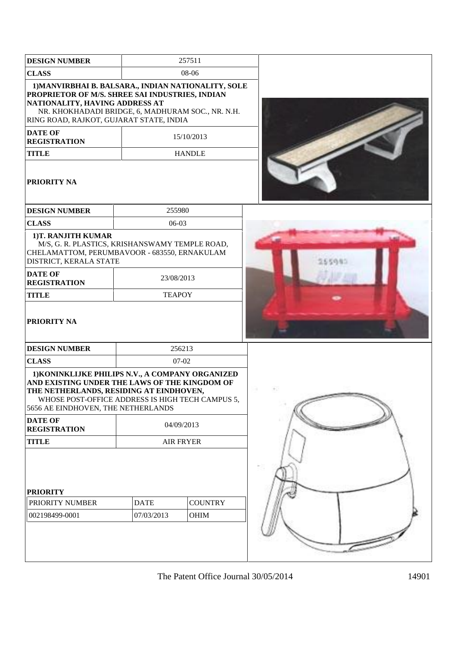| <b>DESIGN NUMBER</b>                                                                                                                                                                                                                     |                           | 257511                 |    |
|------------------------------------------------------------------------------------------------------------------------------------------------------------------------------------------------------------------------------------------|---------------------------|------------------------|----|
| <b>CLASS</b>                                                                                                                                                                                                                             |                           | 08-06                  |    |
| 1) MANVIRBHAI B. BALSARA., INDIAN NATIONALITY, SOLE<br>PROPRIETOR OF M/S. SHREE SAI INDUSTRIES, INDIAN<br>NATIONALITY, HAVING ADDRESS AT<br>NR. KHOKHADADI BRIDGE, 6, MADHURAM SOC., NR. N.H.<br>RING ROAD, RAJKOT, GUJARAT STATE, INDIA |                           |                        |    |
| <b>DATE OF</b><br><b>REGISTRATION</b>                                                                                                                                                                                                    |                           | 15/10/2013             |    |
| <b>TITLE</b>                                                                                                                                                                                                                             |                           | <b>HANDLE</b>          |    |
| <b>PRIORITY NA</b>                                                                                                                                                                                                                       |                           |                        |    |
| <b>DESIGN NUMBER</b>                                                                                                                                                                                                                     | 255980                    |                        |    |
| <b>CLASS</b>                                                                                                                                                                                                                             | 06-03                     |                        |    |
| 1)T. RANJITH KUMAR<br>M/S, G. R. PLASTICS, KRISHANSWAMY TEMPLE ROAD,<br>CHELAMATTOM, PERUMBAVOOR - 683550, ERNAKULAM<br>DISTRICT, KERALA STATE                                                                                           |                           |                        |    |
| <b>DATE OF</b><br><b>REGISTRATION</b>                                                                                                                                                                                                    | 23/08/2013                |                        |    |
| <b>TITLE</b>                                                                                                                                                                                                                             | <b>TEAPOY</b>             |                        |    |
| PRIORITY NA                                                                                                                                                                                                                              |                           |                        |    |
| <b>DESIGN NUMBER</b>                                                                                                                                                                                                                     | 256213                    |                        |    |
| <b>CLASS</b>                                                                                                                                                                                                                             | $07-02$                   |                        |    |
| 1) KONINKLIJKE PHILIPS N.V., A COMPANY ORGANIZED<br>AND EXISTING UNDER THE LAWS OF THE KINGDOM OF<br>THE NETHERLANDS, RESIDING AT EINDHOVEN,<br>WHOSE POST-OFFICE ADDRESS IS HIGH TECH CAMPUS 5,<br>5656 AE EINDHOVEN, THE NETHERLANDS   |                           |                        | ÷Ρ |
| <b>DATE OF</b><br><b>REGISTRATION</b>                                                                                                                                                                                                    | 04/09/2013                |                        |    |
| <b>TITLE</b>                                                                                                                                                                                                                             | <b>AIR FRYER</b>          |                        |    |
| <b>PRIORITY</b><br>PRIORITY NUMBER<br>002198499-0001                                                                                                                                                                                     | <b>DATE</b><br>07/03/2013 | <b>COUNTRY</b><br>OHIM |    |
|                                                                                                                                                                                                                                          |                           |                        |    |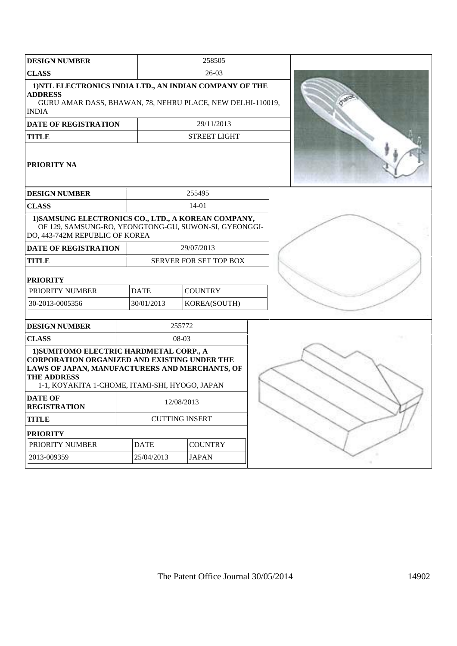| <b>DESIGN NUMBER</b><br>258505<br>$26-03$<br><b>CLASS</b><br>1) NTL ELECTRONICS INDIA LTD., AN INDIAN COMPANY OF THE<br><b>ADDRESS</b><br>GURU AMAR DASS, BHAWAN, 78, NEHRU PLACE, NEW DELHI-110019,<br><b>INDIA</b><br><b>DATE OF REGISTRATION</b><br>29/11/2013<br><b>STREET LIGHT</b><br><b>TITLE</b><br>PRIORITY NA<br>255495<br><b>DESIGN NUMBER</b><br><b>CLASS</b><br>$14 - 01$<br>1) SAMSUNG ELECTRONICS CO., LTD., A KOREAN COMPANY,<br>OF 129, SAMSUNG-RO, YEONGTONG-GU, SUWON-SI, GYEONGGI-<br>DO, 443-742M REPUBLIC OF KOREA |
|------------------------------------------------------------------------------------------------------------------------------------------------------------------------------------------------------------------------------------------------------------------------------------------------------------------------------------------------------------------------------------------------------------------------------------------------------------------------------------------------------------------------------------------|
|                                                                                                                                                                                                                                                                                                                                                                                                                                                                                                                                          |
|                                                                                                                                                                                                                                                                                                                                                                                                                                                                                                                                          |
|                                                                                                                                                                                                                                                                                                                                                                                                                                                                                                                                          |
|                                                                                                                                                                                                                                                                                                                                                                                                                                                                                                                                          |
|                                                                                                                                                                                                                                                                                                                                                                                                                                                                                                                                          |
|                                                                                                                                                                                                                                                                                                                                                                                                                                                                                                                                          |
|                                                                                                                                                                                                                                                                                                                                                                                                                                                                                                                                          |
|                                                                                                                                                                                                                                                                                                                                                                                                                                                                                                                                          |
|                                                                                                                                                                                                                                                                                                                                                                                                                                                                                                                                          |
| 29/07/2013<br><b>DATE OF REGISTRATION</b>                                                                                                                                                                                                                                                                                                                                                                                                                                                                                                |
| SERVER FOR SET TOP BOX<br><b>TITLE</b>                                                                                                                                                                                                                                                                                                                                                                                                                                                                                                   |
| <b>PRIORITY</b>                                                                                                                                                                                                                                                                                                                                                                                                                                                                                                                          |
| PRIORITY NUMBER<br><b>DATE</b><br><b>COUNTRY</b>                                                                                                                                                                                                                                                                                                                                                                                                                                                                                         |
| 30-2013-0005356<br>30/01/2013<br>KOREA(SOUTH)                                                                                                                                                                                                                                                                                                                                                                                                                                                                                            |
| <b>DESIGN NUMBER</b><br>255772                                                                                                                                                                                                                                                                                                                                                                                                                                                                                                           |
| <b>CLASS</b><br>08-03                                                                                                                                                                                                                                                                                                                                                                                                                                                                                                                    |
| 1) SUMITOMO ELECTRIC HARDMETAL CORP., A<br><b>CORPORATION ORGANIZED AND EXISTING UNDER THE</b><br>LAWS OF JAPAN, MANUFACTURERS AND MERCHANTS, OF<br><b>THE ADDRESS</b><br>1-1, KOYAKITA 1-CHOME, ITAMI-SHI, HYOGO, JAPAN                                                                                                                                                                                                                                                                                                                 |
| <b>DATE OF</b><br>12/08/2013<br><b>REGISTRATION</b>                                                                                                                                                                                                                                                                                                                                                                                                                                                                                      |
| <b>TITLE</b><br><b>CUTTING INSERT</b>                                                                                                                                                                                                                                                                                                                                                                                                                                                                                                    |
| <b>PRIORITY</b>                                                                                                                                                                                                                                                                                                                                                                                                                                                                                                                          |
| PRIORITY NUMBER<br><b>DATE</b><br><b>COUNTRY</b>                                                                                                                                                                                                                                                                                                                                                                                                                                                                                         |
| 2013-009359<br>25/04/2013<br><b>JAPAN</b>                                                                                                                                                                                                                                                                                                                                                                                                                                                                                                |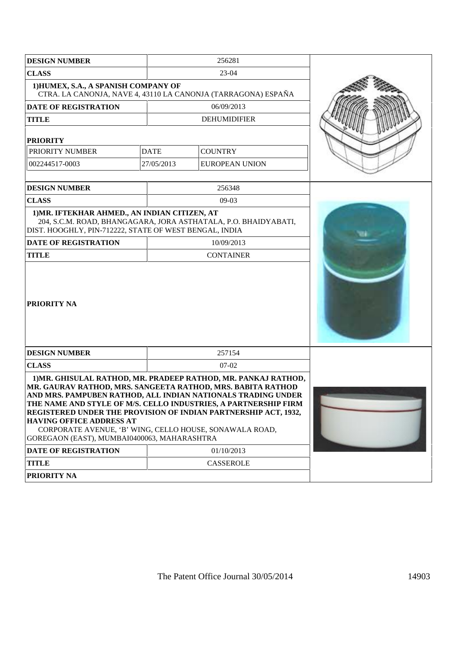| <b>DESIGN NUMBER</b>                                                                                                                                                                                                                                                                                                                                                                                                                                                             |             | 256281                                                          |  |
|----------------------------------------------------------------------------------------------------------------------------------------------------------------------------------------------------------------------------------------------------------------------------------------------------------------------------------------------------------------------------------------------------------------------------------------------------------------------------------|-------------|-----------------------------------------------------------------|--|
| <b>CLASS</b>                                                                                                                                                                                                                                                                                                                                                                                                                                                                     |             | 23-04                                                           |  |
| 1) HUMEX, S.A., A SPANISH COMPANY OF                                                                                                                                                                                                                                                                                                                                                                                                                                             |             | CTRA. LA CANONJA, NAVE 4, 43110 LA CANONJA (TARRAGONA) ESPA A   |  |
| <b>DATE OF REGISTRATION</b>                                                                                                                                                                                                                                                                                                                                                                                                                                                      |             | 06/09/2013                                                      |  |
| <b>TITLE</b>                                                                                                                                                                                                                                                                                                                                                                                                                                                                     |             | <b>DEHUMIDIFIER</b>                                             |  |
| <b>PRIORITY</b>                                                                                                                                                                                                                                                                                                                                                                                                                                                                  |             |                                                                 |  |
| PRIORITY NUMBER                                                                                                                                                                                                                                                                                                                                                                                                                                                                  | <b>DATE</b> | <b>COUNTRY</b>                                                  |  |
| 002244517-0003                                                                                                                                                                                                                                                                                                                                                                                                                                                                   | 27/05/2013  | <b>EUROPEAN UNION</b>                                           |  |
|                                                                                                                                                                                                                                                                                                                                                                                                                                                                                  |             |                                                                 |  |
| <b>DESIGN NUMBER</b>                                                                                                                                                                                                                                                                                                                                                                                                                                                             |             | 256348                                                          |  |
| <b>CLASS</b>                                                                                                                                                                                                                                                                                                                                                                                                                                                                     |             | 09-03                                                           |  |
| 1) MR. IFTEKHAR AHMED., AN INDIAN CITIZEN, AT<br>DIST. HOOGHLY, PIN-712222, STATE OF WEST BENGAL, INDIA                                                                                                                                                                                                                                                                                                                                                                          |             | 204, S.C.M. ROAD, BHANGAGARA, JORA ASTHATALA, P.O. BHAIDYABATI, |  |
| DATE OF REGISTRATION                                                                                                                                                                                                                                                                                                                                                                                                                                                             |             | 10/09/2013                                                      |  |
| <b>TITLE</b>                                                                                                                                                                                                                                                                                                                                                                                                                                                                     |             | <b>CONTAINER</b>                                                |  |
| PRIORITY NA                                                                                                                                                                                                                                                                                                                                                                                                                                                                      |             |                                                                 |  |
| <b>DESIGN NUMBER</b>                                                                                                                                                                                                                                                                                                                                                                                                                                                             |             | 257154                                                          |  |
| <b>CLASS</b>                                                                                                                                                                                                                                                                                                                                                                                                                                                                     |             | $07-02$                                                         |  |
| 1) MR. GHISULAL RATHOD, MR. PRADEEP RATHOD, MR. PANKAJ RATHOD,<br>MR. GAURAV RATHOD, MRS. SANGEETA RATHOD, MRS. BABITA RATHOD<br>AND MRS. PAMPUBEN RATHOD, ALL INDIAN NATIONALS TRADING UNDER<br>THE NAME AND STYLE OF M/S. CELLO INDUSTRIES, A PARTNERSHIP FIRM<br>REGISTERED UNDER THE PROVISION OF INDIAN PARTNERSHIP ACT, 1932,<br><b>HAVING OFFICE ADDRESS AT</b><br>CORPORATE AVENUE, 'B' WING, CELLO HOUSE, SONAWALA ROAD,<br>GOREGAON (EAST), MUMBAI0400063, MAHARASHTRA |             |                                                                 |  |
| DATE OF REGISTRATION                                                                                                                                                                                                                                                                                                                                                                                                                                                             |             | 01/10/2013                                                      |  |
| <b>TITLE</b>                                                                                                                                                                                                                                                                                                                                                                                                                                                                     |             | <b>CASSEROLE</b>                                                |  |
| PRIORITY NA                                                                                                                                                                                                                                                                                                                                                                                                                                                                      |             |                                                                 |  |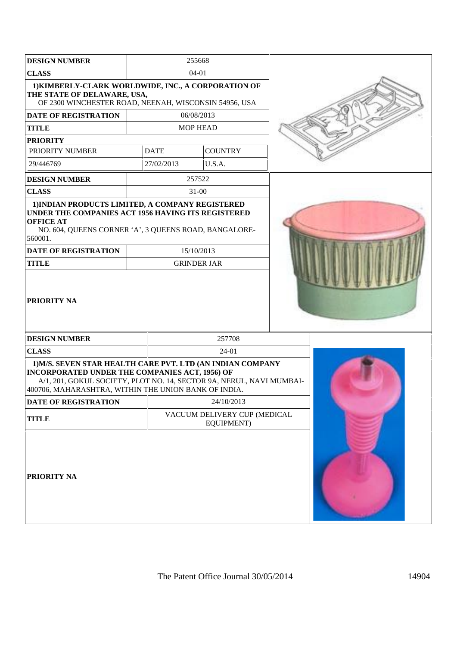| <b>DESIGN NUMBER</b>                                                                                                                                                                                                                                |             | 255668                                     |  |
|-----------------------------------------------------------------------------------------------------------------------------------------------------------------------------------------------------------------------------------------------------|-------------|--------------------------------------------|--|
| <b>CLASS</b>                                                                                                                                                                                                                                        |             | $04 - 01$                                  |  |
| 1) KIMBERLY-CLARK WORLDWIDE, INC., A CORPORATION OF<br>THE STATE OF DELAWARE, USA,<br>OF 2300 WINCHESTER ROAD, NEENAH, WISCONSIN 54956, USA                                                                                                         |             |                                            |  |
| DATE OF REGISTRATION                                                                                                                                                                                                                                |             | 06/08/2013                                 |  |
| <b>TITLE</b>                                                                                                                                                                                                                                        |             | <b>MOP HEAD</b>                            |  |
| <b>PRIORITY</b>                                                                                                                                                                                                                                     |             |                                            |  |
| PRIORITY NUMBER                                                                                                                                                                                                                                     | <b>DATE</b> | <b>COUNTRY</b>                             |  |
| 29/446769                                                                                                                                                                                                                                           | 27/02/2013  | U.S.A.                                     |  |
| <b>DESIGN NUMBER</b>                                                                                                                                                                                                                                |             | 257522                                     |  |
| <b>CLASS</b>                                                                                                                                                                                                                                        |             | $31 - 00$                                  |  |
| 1) INDIAN PRODUCTS LIMITED, A COMPANY REGISTERED<br>UNDER THE COMPANIES ACT 1956 HAVING ITS REGISTERED<br><b>OFFICE AT</b><br>NO. 604, QUEENS CORNER 'A', 3 QUEENS ROAD, BANGALORE-<br>560001.                                                      |             |                                            |  |
| <b>DATE OF REGISTRATION</b>                                                                                                                                                                                                                         |             | 15/10/2013                                 |  |
| <b>TITLE</b>                                                                                                                                                                                                                                        |             | <b>GRINDER JAR</b>                         |  |
| PRIORITY NA                                                                                                                                                                                                                                         |             |                                            |  |
| <b>DESIGN NUMBER</b>                                                                                                                                                                                                                                |             | 257708                                     |  |
| <b>CLASS</b>                                                                                                                                                                                                                                        |             | 24-01                                      |  |
| 1) M/S. SEVEN STAR HEALTH CARE PVT. LTD (AN INDIAN COMPANY<br><b>INCORPORATED UNDER THE COMPANIES ACT, 1956) OF</b><br>A/1, 201, GOKUL SOCIETY, PLOT NO. 14, SECTOR 9A, NERUL, NAVI MUMBAI-<br>400706, MAHARASHTRA, WITHIN THE UNION BANK OF INDIA. |             |                                            |  |
| <b>DATE OF REGISTRATION</b>                                                                                                                                                                                                                         |             | 24/10/2013                                 |  |
| <b>TITLE</b>                                                                                                                                                                                                                                        |             | VACUUM DELIVERY CUP (MEDICAL<br>EQUIPMENT) |  |
| PRIORITY NA                                                                                                                                                                                                                                         |             |                                            |  |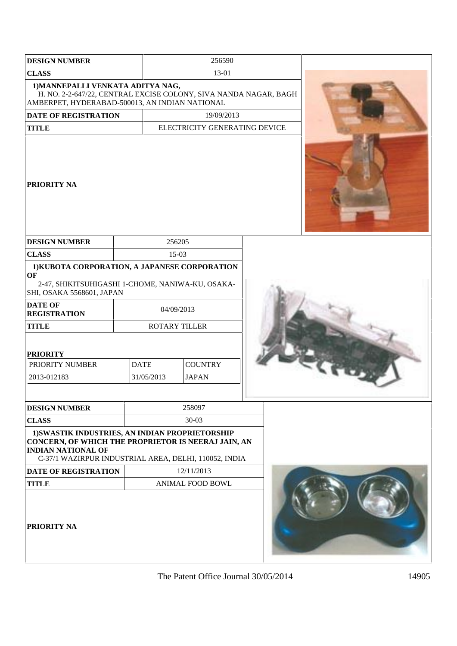| <b>DESIGN NUMBER</b>                                                                                                                                                                         |             | 256590                        |  |  |
|----------------------------------------------------------------------------------------------------------------------------------------------------------------------------------------------|-------------|-------------------------------|--|--|
| <b>CLASS</b>                                                                                                                                                                                 |             | 13-01                         |  |  |
| 1) MANNEPALLI VENKATA ADITYA NAG,<br>H. NO. 2-2-647/22, CENTRAL EXCISE COLONY, SIVA NANDA NAGAR, BAGH<br>AMBERPET, HYDERABAD-500013, AN INDIAN NATIONAL                                      |             |                               |  |  |
| <b>DATE OF REGISTRATION</b>                                                                                                                                                                  |             | 19/09/2013                    |  |  |
| <b>TITLE</b>                                                                                                                                                                                 |             | ELECTRICITY GENERATING DEVICE |  |  |
| <b>PRIORITY NA</b>                                                                                                                                                                           |             |                               |  |  |
| <b>DESIGN NUMBER</b>                                                                                                                                                                         |             | 256205                        |  |  |
| <b>CLASS</b>                                                                                                                                                                                 |             | $15-03$                       |  |  |
| 1) KUBOTA CORPORATION, A JAPANESE CORPORATION<br>OF<br>2-47, SHIKITSUHIGASHI 1-CHOME, NANIWA-KU, OSAKA-<br>SHI, OSAKA 5568601, JAPAN<br><b>DATE OF</b>                                       |             | 04/09/2013                    |  |  |
| <b>REGISTRATION</b>                                                                                                                                                                          |             |                               |  |  |
| <b>TITLE</b>                                                                                                                                                                                 |             | ROTARY TILLER                 |  |  |
| <b>PRIORITY</b>                                                                                                                                                                              |             |                               |  |  |
| PRIORITY NUMBER                                                                                                                                                                              | <b>DATE</b> | <b>COUNTRY</b>                |  |  |
| 2013-012183                                                                                                                                                                                  | 31/05/2013  | <b>JAPAN</b>                  |  |  |
| <b>DESIGN NUMBER</b>                                                                                                                                                                         |             | 258097                        |  |  |
| <b>CLASS</b>                                                                                                                                                                                 |             | $30-03$                       |  |  |
| 1) SWASTIK INDUSTRIES, AN INDIAN PROPRIETORSHIP<br>CONCERN, OF WHICH THE PROPRIETOR IS NEERAJ JAIN, AN<br><b>INDIAN NATIONAL OF</b><br>C-37/1 WAZIRPUR INDUSTRIAL AREA, DELHI, 110052, INDIA |             |                               |  |  |
| <b>DATE OF REGISTRATION</b>                                                                                                                                                                  |             | 12/11/2013                    |  |  |
| <b>TITLE</b>                                                                                                                                                                                 |             | <b>ANIMAL FOOD BOWL</b>       |  |  |
| <b>PRIORITY NA</b>                                                                                                                                                                           |             |                               |  |  |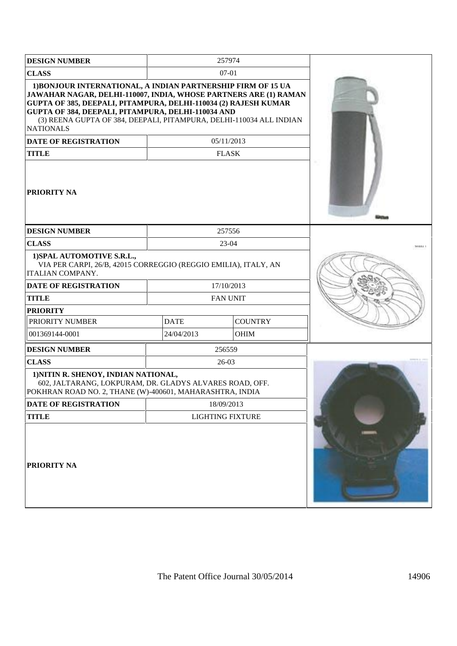| <b>DESIGN NUMBER</b>                                                                                                                                                                                                                                                                                                                                 |             | 257974                  |  |
|------------------------------------------------------------------------------------------------------------------------------------------------------------------------------------------------------------------------------------------------------------------------------------------------------------------------------------------------------|-------------|-------------------------|--|
| <b>CLASS</b>                                                                                                                                                                                                                                                                                                                                         |             | 07-01                   |  |
| 1) BONJOUR INTERNATIONAL, A INDIAN PARTNERSHIP FIRM OF 15 UA<br>JAWAHAR NAGAR, DELHI-110007, INDIA, WHOSE PARTNERS ARE (1) RAMAN<br>GUPTA OF 385, DEEPALI, PITAMPURA, DELHI-110034 (2) RAJESH KUMAR<br>GUPTA OF 384, DEEPALI, PITAMPURA, DELHI-110034 AND<br>(3) REENA GUPTA OF 384, DEEPALI, PITAMPURA, DELHI-110034 ALL INDIAN<br><b>NATIONALS</b> |             |                         |  |
| DATE OF REGISTRATION                                                                                                                                                                                                                                                                                                                                 |             | 05/11/2013              |  |
| <b>TITLE</b>                                                                                                                                                                                                                                                                                                                                         |             | <b>FLASK</b>            |  |
| PRIORITY NA                                                                                                                                                                                                                                                                                                                                          |             |                         |  |
| <b>DESIGN NUMBER</b>                                                                                                                                                                                                                                                                                                                                 |             | 257556                  |  |
| <b>CLASS</b>                                                                                                                                                                                                                                                                                                                                         |             | 23-04                   |  |
| 1) SPAL AUTOMOTIVE S.R.L.,<br>VIA PER CARPI, 26/B, 42015 CORREGGIO (REGGIO EMILIA), ITALY, AN<br>ITALIAN COMPANY.                                                                                                                                                                                                                                    |             |                         |  |
| DATE OF REGISTRATION                                                                                                                                                                                                                                                                                                                                 |             | 17/10/2013              |  |
| <b>TITLE</b>                                                                                                                                                                                                                                                                                                                                         |             | <b>FAN UNIT</b>         |  |
| <b>PRIORITY</b>                                                                                                                                                                                                                                                                                                                                      |             |                         |  |
| PRIORITY NUMBER                                                                                                                                                                                                                                                                                                                                      | <b>DATE</b> | <b>COUNTRY</b>          |  |
| 001369144-0001                                                                                                                                                                                                                                                                                                                                       | 24/04/2013  | <b>OHIM</b>             |  |
| <b>DESIGN NUMBER</b>                                                                                                                                                                                                                                                                                                                                 |             | 256559                  |  |
| <b>CLASS</b>                                                                                                                                                                                                                                                                                                                                         |             | $26-03$                 |  |
| 1) NITIN R. SHENOY, INDIAN NATIONAL,<br>602, JALTARANG, LOKPURAM, DR. GLADYS ALVARES ROAD, OFF.<br>POKHRAN ROAD NO. 2, THANE (W)-400601, MAHARASHTRA, INDIA                                                                                                                                                                                          |             |                         |  |
| <b>DATE OF REGISTRATION</b>                                                                                                                                                                                                                                                                                                                          |             | 18/09/2013              |  |
| <b>TITLE</b>                                                                                                                                                                                                                                                                                                                                         |             | <b>LIGHTING FIXTURE</b> |  |
| <b>PRIORITY NA</b>                                                                                                                                                                                                                                                                                                                                   |             |                         |  |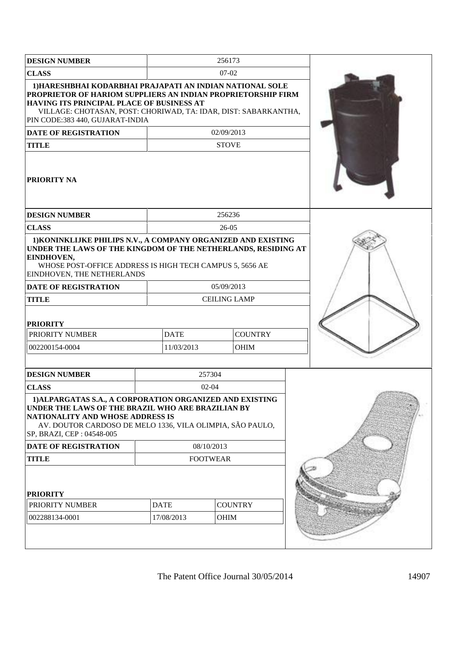| <b>DESIGN NUMBER</b>                                                                                                                                                                                                                                                         |             |                     | 256173       |                |  |  |
|------------------------------------------------------------------------------------------------------------------------------------------------------------------------------------------------------------------------------------------------------------------------------|-------------|---------------------|--------------|----------------|--|--|
| <b>CLASS</b>                                                                                                                                                                                                                                                                 |             | $07-02$             |              |                |  |  |
| 1) HARESHBHAI KODARBHAI PRAJAPATI AN INDIAN NATIONAL SOLE<br>PROPRIETOR OF HARIOM SUPPLIERS AN INDIAN PROPRIETORSHIP FIRM<br>HAVING ITS PRINCIPAL PLACE OF BUSINESS AT<br>VILLAGE: CHOTASAN, POST: CHORIWAD, TA: IDAR, DIST: SABARKANTHA,<br>PIN CODE:383 440, GUJARAT-INDIA |             |                     |              |                |  |  |
| DATE OF REGISTRATION                                                                                                                                                                                                                                                         |             | 02/09/2013          |              |                |  |  |
| <b>TITLE</b>                                                                                                                                                                                                                                                                 |             |                     | <b>STOVE</b> |                |  |  |
| <b>PRIORITY NA</b>                                                                                                                                                                                                                                                           |             |                     |              |                |  |  |
| <b>DESIGN NUMBER</b>                                                                                                                                                                                                                                                         |             |                     | 256236       |                |  |  |
| <b>CLASS</b>                                                                                                                                                                                                                                                                 |             |                     | $26-05$      |                |  |  |
| 1) KONINKLIJKE PHILIPS N.V., A COMPANY ORGANIZED AND EXISTING<br>UNDER THE LAWS OF THE KINGDOM OF THE NETHERLANDS, RESIDING AT<br>EINDHOVEN,<br>WHOSE POST-OFFICE ADDRESS IS HIGH TECH CAMPUS 5, 5656 AE<br>EINDHOVEN, THE NETHERLANDS                                       |             |                     |              |                |  |  |
| <b>DATE OF REGISTRATION</b>                                                                                                                                                                                                                                                  |             | 05/09/2013          |              |                |  |  |
| <b>TITLE</b>                                                                                                                                                                                                                                                                 |             | <b>CEILING LAMP</b> |              |                |  |  |
| <b>PRIORITY</b><br>PRIORITY NUMBER                                                                                                                                                                                                                                           |             | <b>DATE</b>         |              | <b>COUNTRY</b> |  |  |
| 002200154-0004                                                                                                                                                                                                                                                               |             | 11/03/2013          |              | <b>OHIM</b>    |  |  |
|                                                                                                                                                                                                                                                                              |             |                     |              |                |  |  |
| <b>DESIGN NUMBER</b>                                                                                                                                                                                                                                                         |             |                     | 257304       |                |  |  |
| <b>CLASS</b>                                                                                                                                                                                                                                                                 |             |                     | $02 - 04$    |                |  |  |
| 1) ALPARGATAS S.A., A CORPORATION ORGANIZED AND EXISTING<br>UNDER THE LAWS OF THE BRAZIL WHO ARE BRAZILIAN BY<br>NATIONALITY AND WHOSE ADDRESS IS<br>AV. DOUTOR CARDOSO DE MELO 1336, VILA OLIMPIA, SÃO PAULO,<br>SP, BRAZI, CEP: 04548-005                                  |             |                     |              |                |  |  |
| <b>DATE OF REGISTRATION</b>                                                                                                                                                                                                                                                  |             | 08/10/2013          |              |                |  |  |
| <b>TITLE</b>                                                                                                                                                                                                                                                                 |             | <b>FOOTWEAR</b>     |              |                |  |  |
| <b>PRIORITY</b>                                                                                                                                                                                                                                                              |             |                     |              |                |  |  |
| PRIORITY NUMBER                                                                                                                                                                                                                                                              | <b>DATE</b> |                     |              | <b>COUNTRY</b> |  |  |
| 002288134-0001                                                                                                                                                                                                                                                               |             | 17/08/2013          | <b>OHIM</b>  |                |  |  |
|                                                                                                                                                                                                                                                                              |             |                     |              |                |  |  |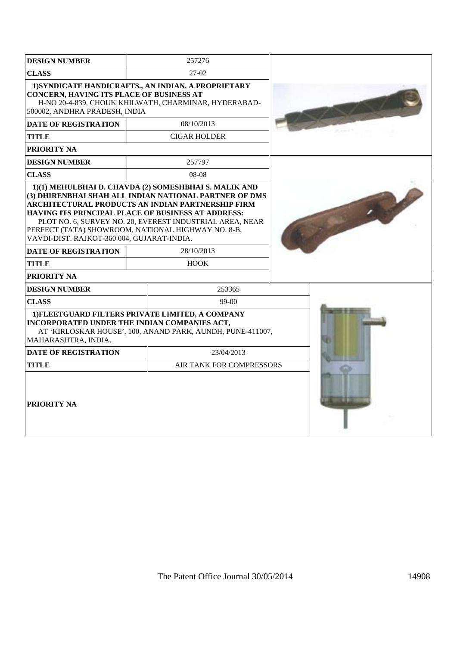| <b>DESIGN NUMBER</b>                                                                                                                                          | 257276                                                                                                                                                                                                                           |  |
|---------------------------------------------------------------------------------------------------------------------------------------------------------------|----------------------------------------------------------------------------------------------------------------------------------------------------------------------------------------------------------------------------------|--|
| <b>CLASS</b>                                                                                                                                                  | 27-02                                                                                                                                                                                                                            |  |
| CONCERN, HAVING ITS PLACE OF BUSINESS AT<br>500002, ANDHRA PRADESH, INDIA                                                                                     | 1) SYNDICATE HANDICRAFTS., AN INDIAN, A PROPRIETARY<br>H-NO 20-4-839, CHOUK KHILWATH, CHARMINAR, HYDERABAD-                                                                                                                      |  |
| <b>DATE OF REGISTRATION</b>                                                                                                                                   | 08/10/2013                                                                                                                                                                                                                       |  |
| <b>TITLE</b>                                                                                                                                                  | <b>CIGAR HOLDER</b>                                                                                                                                                                                                              |  |
| PRIORITY NA                                                                                                                                                   |                                                                                                                                                                                                                                  |  |
| <b>DESIGN NUMBER</b>                                                                                                                                          | 257797                                                                                                                                                                                                                           |  |
| <b>CLASS</b>                                                                                                                                                  | 08-08                                                                                                                                                                                                                            |  |
| <b>HAVING ITS PRINCIPAL PLACE OF BUSINESS AT ADDRESS:</b><br>PERFECT (TATA) SHOWROOM, NATIONAL HIGHWAY NO. 8-B,<br>VAVDI-DIST. RAJKOT-360 004, GUJARAT-INDIA. | 1)(1) MEHULBHAI D. CHAVDA (2) SOMESHBHAI S. MALIK AND<br>(3) DHIRENBHAI SHAH ALL INDIAN NATIONAL PARTNER OF DMS<br>ARCHITECTURAL PRODUCTS AN INDIAN PARTNERSHIP FIRM<br>PLOT NO. 6, SURVEY NO. 20, EVEREST INDUSTRIAL AREA, NEAR |  |
| <b>DATE OF REGISTRATION</b>                                                                                                                                   | 28/10/2013                                                                                                                                                                                                                       |  |
| <b>TITLE</b>                                                                                                                                                  | <b>HOOK</b>                                                                                                                                                                                                                      |  |
| <b>PRIORITY NA</b>                                                                                                                                            |                                                                                                                                                                                                                                  |  |
| <b>DESIGN NUMBER</b>                                                                                                                                          | 253365                                                                                                                                                                                                                           |  |
| <b>CLASS</b>                                                                                                                                                  | 99-00                                                                                                                                                                                                                            |  |
| INCORPORATED UNDER THE INDIAN COMPANIES ACT,<br>MAHARASHTRA, INDIA.                                                                                           | 1) FLEETGUARD FILTERS PRIVATE LIMITED, A COMPANY<br>AT 'KIRLOSKAR HOUSE', 100, ANAND PARK, AUNDH, PUNE-411007,                                                                                                                   |  |
| <b>DATE OF REGISTRATION</b>                                                                                                                                   | 23/04/2013                                                                                                                                                                                                                       |  |
| TITLE                                                                                                                                                         | AIR TANK FOR COMPRESSORS                                                                                                                                                                                                         |  |
| PRIORITY NA                                                                                                                                                   |                                                                                                                                                                                                                                  |  |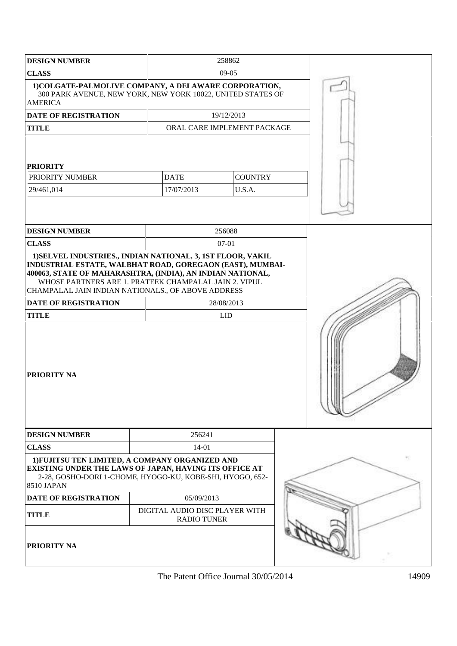| <b>DESIGN NUMBER</b>                                                                                                                                                                                                                                                                                                                 |                                                      | 258862         |  |  |  |
|--------------------------------------------------------------------------------------------------------------------------------------------------------------------------------------------------------------------------------------------------------------------------------------------------------------------------------------|------------------------------------------------------|----------------|--|--|--|
| <b>CLASS</b>                                                                                                                                                                                                                                                                                                                         |                                                      | 09-05          |  |  |  |
| 1) COLGATE-PALMOLIVE COMPANY, A DELAWARE CORPORATION,<br>300 PARK AVENUE, NEW YORK, NEW YORK 10022, UNITED STATES OF<br><b>AMERICA</b>                                                                                                                                                                                               |                                                      |                |  |  |  |
| DATE OF REGISTRATION                                                                                                                                                                                                                                                                                                                 |                                                      | 19/12/2013     |  |  |  |
| <b>TITLE</b>                                                                                                                                                                                                                                                                                                                         | ORAL CARE IMPLEMENT PACKAGE                          |                |  |  |  |
| <b>PRIORITY</b><br>PRIORITY NUMBER                                                                                                                                                                                                                                                                                                   | <b>DATE</b>                                          | <b>COUNTRY</b> |  |  |  |
| 29/461,014                                                                                                                                                                                                                                                                                                                           | 17/07/2013                                           | U.S.A.         |  |  |  |
| <b>DESIGN NUMBER</b>                                                                                                                                                                                                                                                                                                                 |                                                      | 256088         |  |  |  |
| <b>CLASS</b>                                                                                                                                                                                                                                                                                                                         |                                                      | $07 - 01$      |  |  |  |
| 1) SELVEL INDUSTRIES., INDIAN NATIONAL, 3, 1ST FLOOR, VAKIL<br>INDUSTRIAL ESTATE, WALBHAT ROAD, GOREGAON (EAST), MUMBAI-<br>400063, STATE OF MAHARASHTRA, (INDIA), AN INDIAN NATIONAL,<br>WHOSE PARTNERS ARE 1. PRATEEK CHAMPALAL JAIN 2. VIPUL<br>CHAMPALAL JAIN INDIAN NATIONALS., OF ABOVE ADDRESS<br><b>DATE OF REGISTRATION</b> |                                                      | 28/08/2013     |  |  |  |
| <b>TITLE</b>                                                                                                                                                                                                                                                                                                                         |                                                      | <b>LID</b>     |  |  |  |
| <b>PRIORITY NA</b>                                                                                                                                                                                                                                                                                                                   |                                                      |                |  |  |  |
| <b>DESIGN NUMBER</b>                                                                                                                                                                                                                                                                                                                 | 256241                                               |                |  |  |  |
| <b>CLASS</b>                                                                                                                                                                                                                                                                                                                         | $14-01$                                              |                |  |  |  |
| 1) FUJITSU TEN LIMITED, A COMPANY ORGANIZED AND<br>EXISTING UNDER THE LAWS OF JAPAN, HAVING ITS OFFICE AT<br>2-28, GOSHO-DORI 1-CHOME, HYOGO-KU, KOBE-SHI, HYOGO, 652-<br>8510 JAPAN                                                                                                                                                 |                                                      |                |  |  |  |
| <b>DATE OF REGISTRATION</b>                                                                                                                                                                                                                                                                                                          | 05/09/2013                                           |                |  |  |  |
| <b>TITLE</b>                                                                                                                                                                                                                                                                                                                         | DIGITAL AUDIO DISC PLAYER WITH<br><b>RADIO TUNER</b> |                |  |  |  |
| <b>PRIORITY NA</b>                                                                                                                                                                                                                                                                                                                   |                                                      |                |  |  |  |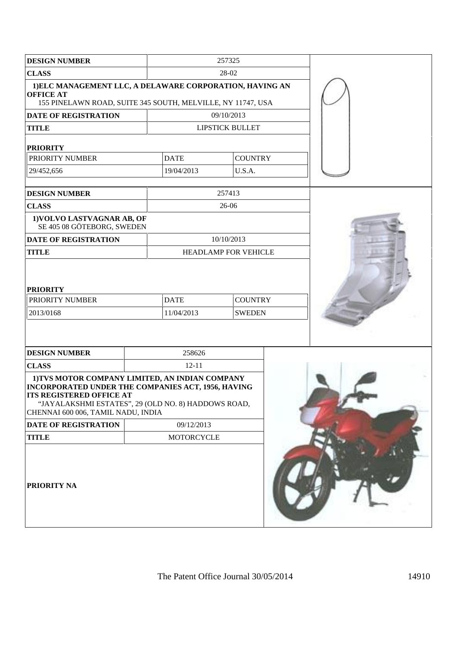| <b>DESIGN NUMBER</b>                                                                                                                                                                                                                  |            | 257325                                                       |                        |  |  |
|---------------------------------------------------------------------------------------------------------------------------------------------------------------------------------------------------------------------------------------|------------|--------------------------------------------------------------|------------------------|--|--|
| <b>CLASS</b>                                                                                                                                                                                                                          |            | 28-02                                                        |                        |  |  |
| 1) ELC MANAGEMENT LLC, A DELAWARE CORPORATION, HAVING AN<br><b>OFFICE AT</b><br>155 PINELAWN ROAD, SUITE 345 SOUTH, MELVILLE, NY 11747, USA                                                                                           |            |                                                              |                        |  |  |
| <b>DATE OF REGISTRATION</b>                                                                                                                                                                                                           |            |                                                              | 09/10/2013             |  |  |
| <b>TITLE</b>                                                                                                                                                                                                                          |            |                                                              | <b>LIPSTICK BULLET</b> |  |  |
|                                                                                                                                                                                                                                       |            |                                                              |                        |  |  |
| <b>PRIORITY</b>                                                                                                                                                                                                                       |            |                                                              |                        |  |  |
| PRIORITY NUMBER                                                                                                                                                                                                                       |            | <b>DATE</b>                                                  | <b>COUNTRY</b>         |  |  |
| 29/452,656                                                                                                                                                                                                                            |            | 19/04/2013                                                   | U.S.A.                 |  |  |
|                                                                                                                                                                                                                                       |            |                                                              |                        |  |  |
| <b>DESIGN NUMBER</b>                                                                                                                                                                                                                  |            |                                                              | 257413                 |  |  |
| <b>CLASS</b>                                                                                                                                                                                                                          |            |                                                              | 26-06                  |  |  |
| 1) VOLVO LASTVAGNAR AB, OF<br>SE 405 08 GÖTEBORG, SWEDEN                                                                                                                                                                              |            |                                                              |                        |  |  |
| <b>DATE OF REGISTRATION</b>                                                                                                                                                                                                           |            |                                                              | 10/10/2013             |  |  |
| <b>TITLE</b>                                                                                                                                                                                                                          |            |                                                              | HEADLAMP FOR VEHICLE   |  |  |
| <b>PRIORITY</b><br>PRIORITY NUMBER<br>2013/0168                                                                                                                                                                                       |            | <b>COUNTRY</b><br><b>DATE</b><br>11/04/2013<br><b>SWEDEN</b> |                        |  |  |
| <b>DESIGN NUMBER</b>                                                                                                                                                                                                                  |            | 258626                                                       |                        |  |  |
| <b>CLASS</b>                                                                                                                                                                                                                          |            | $12 - 11$                                                    |                        |  |  |
| 1) TVS MOTOR COMPANY LIMITED, AN INDIAN COMPANY<br>INCORPORATED UNDER THE COMPANIES ACT, 1956, HAVING<br><b>ITS REGISTERED OFFICE AT</b><br>"JAYALAKSHMI ESTATES", 29 (OLD NO. 8) HADDOWS ROAD,<br>CHENNAI 600 006, TAMIL NADU, INDIA |            |                                                              |                        |  |  |
| <b>DATE OF REGISTRATION</b>                                                                                                                                                                                                           |            | 09/12/2013                                                   |                        |  |  |
| <b>TITLE</b>                                                                                                                                                                                                                          | MOTORCYCLE |                                                              |                        |  |  |
| <b>PRIORITY NA</b>                                                                                                                                                                                                                    |            |                                                              |                        |  |  |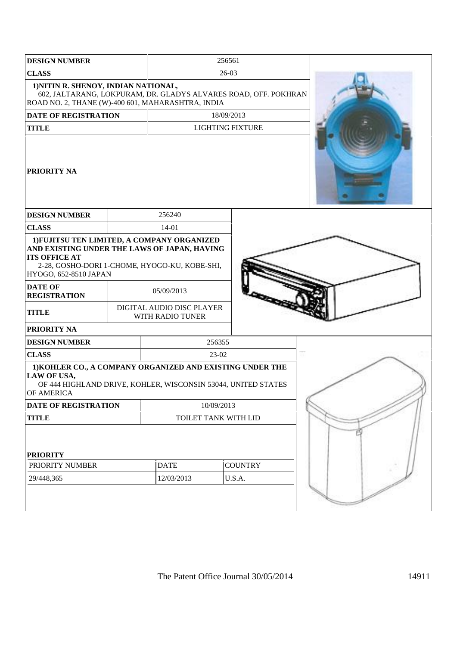| <b>DESIGN NUMBER</b>                                                                                                                                                                          |  | 256561                                        |                         |  |  |
|-----------------------------------------------------------------------------------------------------------------------------------------------------------------------------------------------|--|-----------------------------------------------|-------------------------|--|--|
| <b>CLASS</b>                                                                                                                                                                                  |  | 26-03                                         |                         |  |  |
| 1) NITIN R. SHENOY, INDIAN NATIONAL,<br>602, JALTARANG, LOKPURAM, DR. GLADYS ALVARES ROAD, OFF. POKHRAN<br>ROAD NO. 2, THANE (W)-400 601, MAHARASHTRA, INDIA                                  |  |                                               |                         |  |  |
| <b>DATE OF REGISTRATION</b>                                                                                                                                                                   |  |                                               | 18/09/2013              |  |  |
| <b>TITLE</b>                                                                                                                                                                                  |  |                                               | <b>LIGHTING FIXTURE</b> |  |  |
| <b>PRIORITY NA</b>                                                                                                                                                                            |  |                                               |                         |  |  |
| <b>DESIGN NUMBER</b>                                                                                                                                                                          |  | 256240                                        |                         |  |  |
| <b>CLASS</b>                                                                                                                                                                                  |  | $14 - 01$                                     |                         |  |  |
| 1) FUJITSU TEN LIMITED, A COMPANY ORGANIZED<br>AND EXISTING UNDER THE LAWS OF JAPAN, HAVING<br><b>ITS OFFICE AT</b><br>2-28, GOSHO-DORI 1-CHOME, HYOGO-KU, KOBE-SHI,<br>HYOGO, 652-8510 JAPAN |  |                                               |                         |  |  |
| <b>DATE OF</b><br><b>REGISTRATION</b>                                                                                                                                                         |  | 05/09/2013                                    |                         |  |  |
| <b>TITLE</b>                                                                                                                                                                                  |  | DIGITAL AUDIO DISC PLAYER<br>WITH RADIO TUNER |                         |  |  |
| <b>PRIORITY NA</b>                                                                                                                                                                            |  |                                               |                         |  |  |
| <b>DESIGN NUMBER</b>                                                                                                                                                                          |  |                                               | 256355                  |  |  |
| <b>CLASS</b>                                                                                                                                                                                  |  |                                               | $23-02$                 |  |  |
| 1) KOHLER CO., A COMPANY ORGANIZED AND EXISTING UNDER THE<br>LAW OF USA,<br>OF 444 HIGHLAND DRIVE, KOHLER, WISCONSIN 53044, UNITED STATES<br>OF AMERICA                                       |  |                                               |                         |  |  |
| <b>DATE OF REGISTRATION</b>                                                                                                                                                                   |  | 10/09/2013                                    |                         |  |  |
| <b>TITLE</b>                                                                                                                                                                                  |  | TOILET TANK WITH LID                          |                         |  |  |
| <b>PRIORITY</b>                                                                                                                                                                               |  |                                               |                         |  |  |
| PRIORITY NUMBER                                                                                                                                                                               |  | <b>DATE</b>                                   | <b>COUNTRY</b>          |  |  |
| 29/448,365                                                                                                                                                                                    |  | 12/03/2013                                    | U.S.A.                  |  |  |
|                                                                                                                                                                                               |  |                                               |                         |  |  |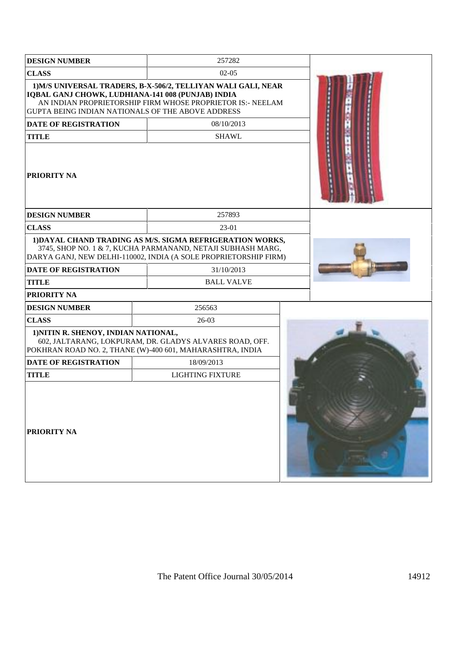| <b>DESIGN NUMBER</b>                                                                                   | 257282                                                                                                                                                                                       |  |
|--------------------------------------------------------------------------------------------------------|----------------------------------------------------------------------------------------------------------------------------------------------------------------------------------------------|--|
| <b>CLASS</b>                                                                                           | $02-05$                                                                                                                                                                                      |  |
| IQBAL GANJ CHOWK, LUDHIANA-141 008 (PUNJAB) INDIA<br>GUPTA BEING INDIAN NATIONALS OF THE ABOVE ADDRESS | 1) M/S UNIVERSAL TRADERS, B-X-506/2, TELLIYAN WALI GALI, NEAR<br>AN INDIAN PROPRIETORSHIP FIRM WHOSE PROPRIETOR IS:- NEELAM                                                                  |  |
| <b>DATE OF REGISTRATION</b>                                                                            | 08/10/2013                                                                                                                                                                                   |  |
| <b>TITLE</b>                                                                                           | <b>SHAWL</b>                                                                                                                                                                                 |  |
| PRIORITY NA                                                                                            |                                                                                                                                                                                              |  |
| <b>DESIGN NUMBER</b>                                                                                   | 257893                                                                                                                                                                                       |  |
| <b>CLASS</b>                                                                                           | 23-01                                                                                                                                                                                        |  |
|                                                                                                        | 1) DAYAL CHAND TRADING AS M/S. SIGMA REFRIGERATION WORKS,<br>3745, SHOP NO. 1 & 7, KUCHA PARMANAND, NETAJI SUBHASH MARG,<br>DARYA GANJ, NEW DELHI-110002, INDIA (A SOLE PROPRIETORSHIP FIRM) |  |
| <b>DATE OF REGISTRATION</b>                                                                            | 31/10/2013                                                                                                                                                                                   |  |
| <b>TITLE</b>                                                                                           | <b>BALL VALVE</b>                                                                                                                                                                            |  |
| PRIORITY NA                                                                                            |                                                                                                                                                                                              |  |
| <b>DESIGN NUMBER</b>                                                                                   | 256563                                                                                                                                                                                       |  |
| <b>CLASS</b>                                                                                           | $26-03$                                                                                                                                                                                      |  |
| 1) NITIN R. SHENOY, INDIAN NATIONAL,                                                                   | 602, JALTARANG, LOKPURAM, DR. GLADYS ALVARES ROAD, OFF.<br>POKHRAN ROAD NO. 2, THANE (W)-400 601, MAHARASHTRA, INDIA                                                                         |  |
| <b>DATE OF REGISTRATION</b>                                                                            | 18/09/2013                                                                                                                                                                                   |  |
| <b>TITLE</b>                                                                                           | <b>LIGHTING FIXTURE</b>                                                                                                                                                                      |  |
| <b>PRIORITY NA</b>                                                                                     |                                                                                                                                                                                              |  |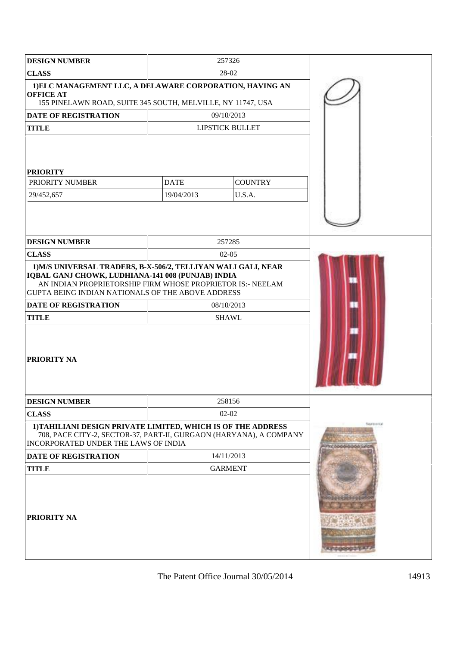| <b>DESIGN NUMBER</b>                                                                                                                                                                                                                                                               |             | 257326                 |               |
|------------------------------------------------------------------------------------------------------------------------------------------------------------------------------------------------------------------------------------------------------------------------------------|-------------|------------------------|---------------|
| <b>CLASS</b>                                                                                                                                                                                                                                                                       |             | 28-02                  |               |
| 1) ELC MANAGEMENT LLC, A DELAWARE CORPORATION, HAVING AN<br><b>OFFICE AT</b><br>155 PINELAWN ROAD, SUITE 345 SOUTH, MELVILLE, NY 11747, USA                                                                                                                                        |             |                        |               |
| <b>DATE OF REGISTRATION</b>                                                                                                                                                                                                                                                        |             | 09/10/2013             |               |
| <b>TITLE</b>                                                                                                                                                                                                                                                                       |             | <b>LIPSTICK BULLET</b> |               |
| <b>PRIORITY</b>                                                                                                                                                                                                                                                                    |             |                        |               |
| PRIORITY NUMBER                                                                                                                                                                                                                                                                    | <b>DATE</b> | <b>COUNTRY</b>         |               |
| 29/452,657                                                                                                                                                                                                                                                                         | 19/04/2013  | U.S.A.                 |               |
|                                                                                                                                                                                                                                                                                    |             |                        |               |
| <b>DESIGN NUMBER</b>                                                                                                                                                                                                                                                               |             | 257285                 |               |
| <b>CLASS</b>                                                                                                                                                                                                                                                                       |             | $02-05$                |               |
| 1) M/S UNIVERSAL TRADERS, B-X-506/2, TELLIYAN WALI GALI, NEAR<br>IQBAL GANJ CHOWK, LUDHIANA-141 008 (PUNJAB) INDIA<br>AN INDIAN PROPRIETORSHIP FIRM WHOSE PROPRIETOR IS:- NEELAM<br>GUPTA BEING INDIAN NATIONALS OF THE ABOVE ADDRESS<br><b>DATE OF REGISTRATION</b><br>08/10/2013 |             |                        |               |
| <b>TITLE</b>                                                                                                                                                                                                                                                                       |             | <b>SHAWL</b>           |               |
| <b>PRIORITY NA</b>                                                                                                                                                                                                                                                                 |             |                        |               |
| <b>DESIGN NUMBER</b>                                                                                                                                                                                                                                                               |             | 258156                 |               |
| <b>CLASS</b>                                                                                                                                                                                                                                                                       |             |                        |               |
| 1) TAHILIANI DESIGN PRIVATE LIMITED, WHICH IS OF THE ADDRESS<br>708, PACE CITY-2, SECTOR-37, PART-II, GURGAON (HARYANA), A COMPANY<br>INCORPORATED UNDER THE LAWS OF INDIA                                                                                                         |             |                        | Sapraventi di |
| DATE OF REGISTRATION                                                                                                                                                                                                                                                               |             | 14/11/2013             |               |
| <b>TITLE</b>                                                                                                                                                                                                                                                                       |             | <b>GARMENT</b>         |               |
| <b>PRIORITY NA</b>                                                                                                                                                                                                                                                                 |             |                        |               |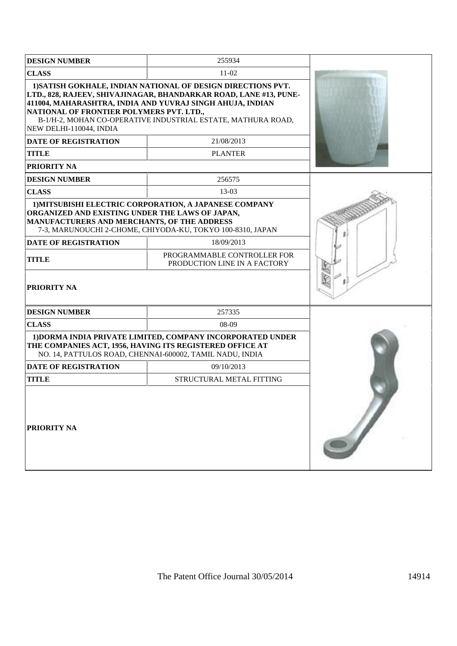| <b>DESIGN NUMBER</b>                                                                                               | 255934                                                                                                                                                                                                                                                                                         |  |
|--------------------------------------------------------------------------------------------------------------------|------------------------------------------------------------------------------------------------------------------------------------------------------------------------------------------------------------------------------------------------------------------------------------------------|--|
| <b>CLASS</b>                                                                                                       |                                                                                                                                                                                                                                                                                                |  |
| NATIONAL OF FRONTIER POLYMERS PVT. LTD.,<br>NEW DELHI-110044, INDIA<br><b>DATE OF REGISTRATION</b><br><b>TITLE</b> | 1) SATISH GOKHALE, INDIAN NATIONAL OF DESIGN DIRECTIONS PVT.<br>LTD., 828, RAJEEV, SHIVAJINAGAR, BHANDARKAR ROAD, LANE #13, PUNE-<br>411004, MAHARASHTRA, INDIA AND YUVRAJ SINGH AHUJA, INDIAN<br>B-1/H-2, MOHAN CO-OPERATIVE INDUSTRIAL ESTATE, MATHURA ROAD,<br>21/08/2013<br><b>PLANTER</b> |  |
| PRIORITY NA                                                                                                        |                                                                                                                                                                                                                                                                                                |  |
| <b>DESIGN NUMBER</b>                                                                                               | 256575                                                                                                                                                                                                                                                                                         |  |
| <b>CLASS</b>                                                                                                       | 13-03                                                                                                                                                                                                                                                                                          |  |
| ORGANIZED AND EXISTING UNDER THE LAWS OF JAPAN,<br>MANUFACTURERS AND MERCHANTS, OF THE ADDRESS                     | 1) MITSUBISHI ELECTRIC CORPORATION, A JAPANESE COMPANY<br>7-3, MARUNOUCHI 2-CHOME, CHIYODA-KU, TOKYO 100-8310, JAPAN                                                                                                                                                                           |  |
| <b>DATE OF REGISTRATION</b>                                                                                        | 18/09/2013                                                                                                                                                                                                                                                                                     |  |
| <b>TITLE</b>                                                                                                       | PROGRAMMABLE CONTROLLER FOR<br>PRODUCTION LINE IN A FACTORY                                                                                                                                                                                                                                    |  |
| PRIORITY NA                                                                                                        |                                                                                                                                                                                                                                                                                                |  |
| <b>DESIGN NUMBER</b>                                                                                               | 257335                                                                                                                                                                                                                                                                                         |  |
| <b>CLASS</b>                                                                                                       | $08-09$                                                                                                                                                                                                                                                                                        |  |
| THE COMPANIES ACT, 1956, HAVING ITS REGISTERED OFFICE AT                                                           | 1) DORMA INDIA PRIVATE LIMITED, COMPANY INCORPORATED UNDER<br>NO. 14, PATTULOS ROAD, CHENNAI-600002, TAMIL NADU, INDIA                                                                                                                                                                         |  |
| <b>DATE OF REGISTRATION</b>                                                                                        | 09/10/2013                                                                                                                                                                                                                                                                                     |  |
| <b>TITLE</b>                                                                                                       | STRUCTURAL METAL FITTING                                                                                                                                                                                                                                                                       |  |
| <b>PRIORITY NA</b>                                                                                                 |                                                                                                                                                                                                                                                                                                |  |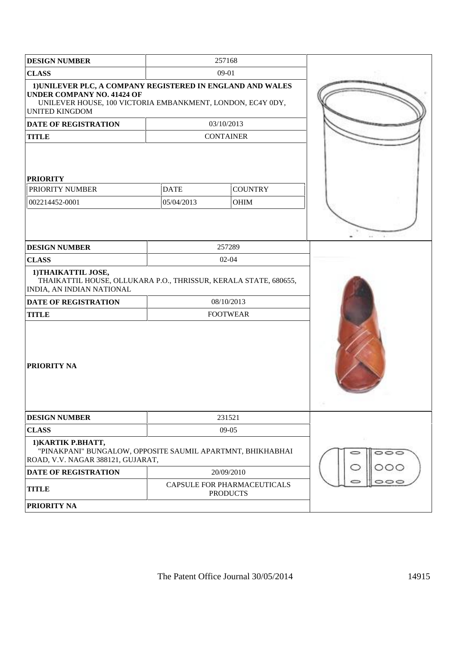| <b>DESIGN NUMBER</b>                                                                                                                                                                   | 257168                                         |                        |       |
|----------------------------------------------------------------------------------------------------------------------------------------------------------------------------------------|------------------------------------------------|------------------------|-------|
| <b>CLASS</b>                                                                                                                                                                           | $09-01$                                        |                        |       |
| 1) UNILEVER PLC, A COMPANY REGISTERED IN ENGLAND AND WALES<br><b>UNDER COMPANY NO. 41424 OF</b><br>UNILEVER HOUSE, 100 VICTORIA EMBANKMENT, LONDON, EC4Y 0DY,<br><b>UNITED KINGDOM</b> |                                                |                        |       |
| DATE OF REGISTRATION                                                                                                                                                                   | 03/10/2013                                     |                        |       |
| <b>TITLE</b>                                                                                                                                                                           | <b>CONTAINER</b>                               |                        |       |
| <b>PRIORITY</b><br>PRIORITY NUMBER<br>002214452-0001                                                                                                                                   | <b>DATE</b><br>05/04/2013                      | <b>COUNTRY</b><br>OHIM |       |
| <b>DESIGN NUMBER</b>                                                                                                                                                                   | 257289                                         |                        | in it |
| <b>CLASS</b>                                                                                                                                                                           | $02 - 04$                                      |                        |       |
| 1) THAIKATTIL JOSE,<br>THAIKATTIL HOUSE, OLLUKARA P.O., THRISSUR, KERALA STATE, 680655,<br>INDIA, AN INDIAN NATIONAL                                                                   |                                                |                        |       |
| DATE OF REGISTRATION                                                                                                                                                                   | 08/10/2013                                     |                        |       |
| <b>TITLE</b>                                                                                                                                                                           | <b>FOOTWEAR</b>                                |                        |       |
| PRIORITY NA                                                                                                                                                                            |                                                |                        |       |
| <b>DESIGN NUMBER</b>                                                                                                                                                                   | 231521                                         |                        |       |
| <b>CLASS</b>                                                                                                                                                                           | $09-05$                                        |                        |       |
| 1) KARTIK P.BHATT,<br>"PINAKPANI" BUNGALOW, OPPOSITE SAUMIL APARTMNT, BHIKHABHAI<br>ROAD, V.V. NAGAR 388121, GUJARAT,                                                                  |                                                |                        | 000   |
| DATE OF REGISTRATION                                                                                                                                                                   | 20/09/2010                                     |                        |       |
| <b>TITLE</b>                                                                                                                                                                           | CAPSULE FOR PHARMACEUTICALS<br><b>PRODUCTS</b> |                        |       |
| PRIORITY NA                                                                                                                                                                            |                                                |                        |       |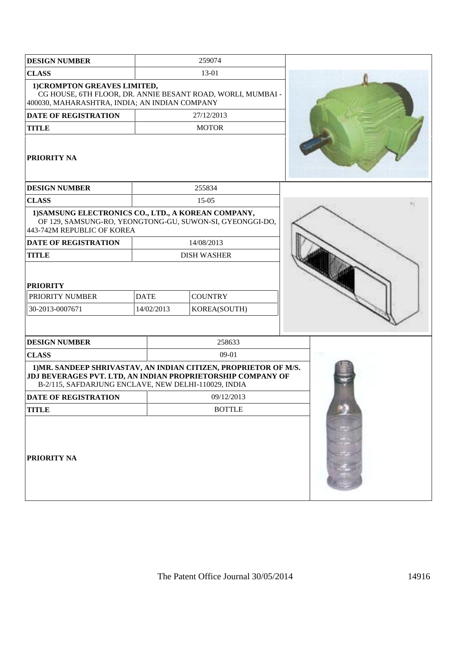| <b>DESIGN NUMBER</b>                                                                                                                                                                                                                   |                           | 259074                         |                             |  |
|----------------------------------------------------------------------------------------------------------------------------------------------------------------------------------------------------------------------------------------|---------------------------|--------------------------------|-----------------------------|--|
| <b>CLASS</b>                                                                                                                                                                                                                           | 13-01                     |                                |                             |  |
| 1) CROMPTON GREAVES LIMITED,<br>CG HOUSE, 6TH FLOOR, DR. ANNIE BESANT ROAD, WORLI, MUMBAI -<br>400030, MAHARASHTRA, INDIA; AN INDIAN COMPANY                                                                                           |                           |                                |                             |  |
| <b>DATE OF REGISTRATION</b>                                                                                                                                                                                                            | 27/12/2013                |                                |                             |  |
| <b>TITLE</b>                                                                                                                                                                                                                           |                           | <b>MOTOR</b>                   |                             |  |
| <b>PRIORITY NA</b>                                                                                                                                                                                                                     |                           |                                |                             |  |
| <b>DESIGN NUMBER</b>                                                                                                                                                                                                                   |                           | 255834                         |                             |  |
| <b>CLASS</b>                                                                                                                                                                                                                           |                           | 15-05                          |                             |  |
| 1) SAMSUNG ELECTRONICS CO., LTD., A KOREAN COMPANY,<br>OF 129, SAMSUNG-RO, YEONGTONG-GU, SUWON-SI, GYEONGGI-DO,<br>443-742M REPUBLIC OF KOREA                                                                                          |                           |                                |                             |  |
| DATE OF REGISTRATION                                                                                                                                                                                                                   |                           | 14/08/2013                     |                             |  |
| <b>TITLE</b>                                                                                                                                                                                                                           |                           | <b>DISH WASHER</b>             |                             |  |
| <b>PRIORITY</b><br>PRIORITY NUMBER<br>30-2013-0007671                                                                                                                                                                                  | <b>DATE</b><br>14/02/2013 | <b>COUNTRY</b><br>KOREA(SOUTH) |                             |  |
| <b>DESIGN NUMBER</b>                                                                                                                                                                                                                   |                           |                                | 258633                      |  |
| <b>CLASS</b>                                                                                                                                                                                                                           |                           | 09-01                          |                             |  |
| 1) MR. SANDEEP SHRIVASTAV, AN INDIAN CITIZEN, PROPRIETOR OF M/S.<br>JDJ BEVERAGES PVT. LTD, AN INDIAN PROPRIETORSHIP COMPANY OF<br>B-2/115, SAFDARJUNG ENCLAVE, NEW DELHI-110029, INDIA<br><b>DATE OF REGISTRATION</b><br><b>TITLE</b> |                           |                                | 09/12/2013<br><b>BOTTLE</b> |  |
| <b>PRIORITY NA</b>                                                                                                                                                                                                                     |                           |                                |                             |  |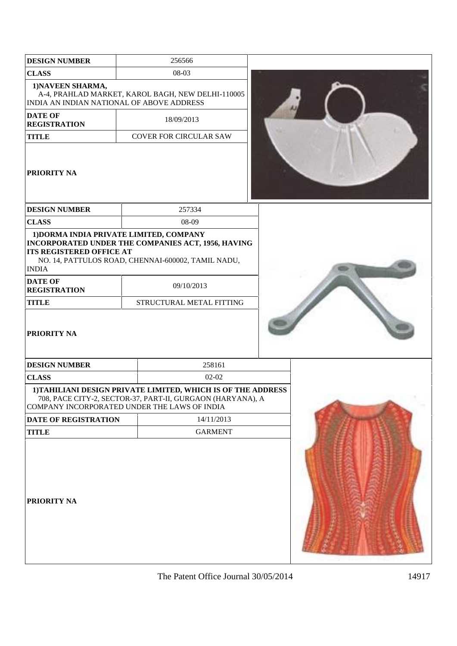| <b>DESIGN NUMBER</b>                                           | 256566                                                                                                                                                                     |  |
|----------------------------------------------------------------|----------------------------------------------------------------------------------------------------------------------------------------------------------------------------|--|
| <b>CLASS</b>                                                   | 08-03                                                                                                                                                                      |  |
| 1) NAVEEN SHARMA,<br>INDIA AN INDIAN NATIONAL OF ABOVE ADDRESS | A-4, PRAHLAD MARKET, KAROL BAGH, NEW DELHI-110005                                                                                                                          |  |
| <b>DATE OF</b><br><b>REGISTRATION</b>                          | 18/09/2013                                                                                                                                                                 |  |
| <b>TITLE</b>                                                   | <b>COVER FOR CIRCULAR SAW</b>                                                                                                                                              |  |
| <b>PRIORITY NA</b>                                             |                                                                                                                                                                            |  |
| <b>DESIGN NUMBER</b>                                           | 257334                                                                                                                                                                     |  |
| <b>CLASS</b>                                                   | 08-09                                                                                                                                                                      |  |
| <b>ITS REGISTERED OFFICE AT</b><br><b>INDIA</b>                | 1) DORMA INDIA PRIVATE LIMITED, COMPANY<br>INCORPORATED UNDER THE COMPANIES ACT, 1956, HAVING<br>NO. 14, PATTULOS ROAD, CHENNAI-600002, TAMIL NADU,                        |  |
| <b>DATE OF</b><br><b>REGISTRATION</b>                          | 09/10/2013                                                                                                                                                                 |  |
| <b>TITLE</b>                                                   | STRUCTURAL METAL FITTING                                                                                                                                                   |  |
| <b>PRIORITY NA</b>                                             |                                                                                                                                                                            |  |
| <b>DESIGN NUMBER</b>                                           | 258161                                                                                                                                                                     |  |
| <b>CLASS</b>                                                   | $02 - 02$                                                                                                                                                                  |  |
|                                                                | 1) TAHILIANI DESIGN PRIVATE LIMITED, WHICH IS OF THE ADDRESS<br>708, PACE CITY-2, SECTOR-37, PART-II, GURGAON (HARYANA), A<br>COMPANY INCORPORATED UNDER THE LAWS OF INDIA |  |
| DATE OF REGISTRATION                                           | 14/11/2013                                                                                                                                                                 |  |
| <b>TITLE</b>                                                   | <b>GARMENT</b>                                                                                                                                                             |  |
| <b>PRIORITY NA</b>                                             |                                                                                                                                                                            |  |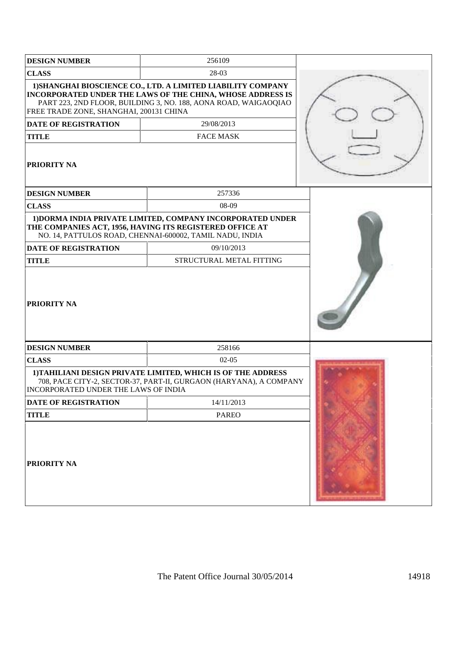| <b>DESIGN NUMBER</b>                    | 256109                                                                                                                                                                                        |  |
|-----------------------------------------|-----------------------------------------------------------------------------------------------------------------------------------------------------------------------------------------------|--|
| <b>CLASS</b>                            | 28-03                                                                                                                                                                                         |  |
| FREE TRADE ZONE, SHANGHAI, 200131 CHINA | 1) SHANGHAI BIOSCIENCE CO., LTD. A LIMITED LIABILITY COMPANY<br>INCORPORATED UNDER THE LAWS OF THE CHINA, WHOSE ADDRESS IS<br>PART 223, 2ND FLOOR, BUILDING 3, NO. 188, AONA ROAD, WAIGAOQIAO |  |
| <b>DATE OF REGISTRATION</b>             | 29/08/2013                                                                                                                                                                                    |  |
| <b>TITLE</b>                            | <b>FACE MASK</b>                                                                                                                                                                              |  |
| PRIORITY NA                             |                                                                                                                                                                                               |  |
| <b>DESIGN NUMBER</b>                    | 257336                                                                                                                                                                                        |  |
| <b>CLASS</b>                            | 08-09                                                                                                                                                                                         |  |
|                                         | 1) DORMA INDIA PRIVATE LIMITED, COMPANY INCORPORATED UNDER<br>THE COMPANIES ACT, 1956, HAVING ITS REGISTERED OFFICE AT<br>NO. 14, PATTULOS ROAD, CHENNAI-600002, TAMIL NADU, INDIA            |  |
| <b>DATE OF REGISTRATION</b>             | 09/10/2013                                                                                                                                                                                    |  |
| <b>TITLE</b>                            | STRUCTURAL METAL FITTING                                                                                                                                                                      |  |
| PRIORITY NA                             |                                                                                                                                                                                               |  |
| <b>DESIGN NUMBER</b>                    | 258166                                                                                                                                                                                        |  |
| <b>CLASS</b>                            | $02 - 05$                                                                                                                                                                                     |  |
| INCORPORATED UNDER THE LAWS OF INDIA    | 1) TAHILIANI DESIGN PRIVATE LIMITED, WHICH IS OF THE ADDRESS<br>708, PACE CITY-2, SECTOR-37, PART-II, GURGAON (HARYANA), A COMPANY                                                            |  |
| DATE OF REGISTRATION                    | 14/11/2013                                                                                                                                                                                    |  |
| <b>TITLE</b>                            | <b>PAREO</b>                                                                                                                                                                                  |  |
| PRIORITY NA                             |                                                                                                                                                                                               |  |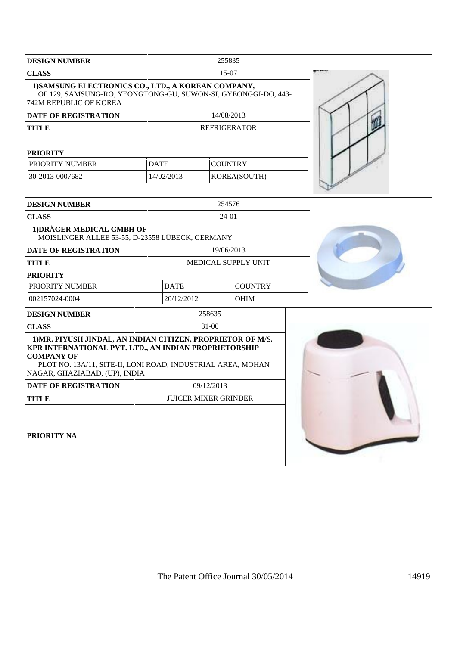| <b>DESIGN NUMBER</b>                                                                                                                                                                                                                      |             | 255835                      |  |
|-------------------------------------------------------------------------------------------------------------------------------------------------------------------------------------------------------------------------------------------|-------------|-----------------------------|--|
| <b>CLASS</b>                                                                                                                                                                                                                              |             | 15-07                       |  |
| 1) SAMSUNG ELECTRONICS CO., LTD., A KOREAN COMPANY,<br>OF 129, SAMSUNG-RO, YEONGTONG-GU, SUWON-SI, GYEONGGI-DO, 443-<br>742M REPUBLIC OF KOREA                                                                                            |             |                             |  |
| <b>DATE OF REGISTRATION</b>                                                                                                                                                                                                               |             | 14/08/2013                  |  |
| <b>TITLE</b>                                                                                                                                                                                                                              |             | <b>REFRIGERATOR</b>         |  |
| <b>PRIORITY</b>                                                                                                                                                                                                                           |             |                             |  |
| PRIORITY NUMBER                                                                                                                                                                                                                           | <b>DATE</b> | <b>COUNTRY</b>              |  |
| 30-2013-0007682                                                                                                                                                                                                                           | 14/02/2013  | KOREA(SOUTH)                |  |
|                                                                                                                                                                                                                                           |             |                             |  |
| <b>DESIGN NUMBER</b>                                                                                                                                                                                                                      |             | 254576                      |  |
| <b>CLASS</b>                                                                                                                                                                                                                              |             | 24-01                       |  |
| 1) DRÄGER MEDICAL GMBH OF<br>MOISLINGER ALLEE 53-55, D-23558 LÜBECK, GERMANY                                                                                                                                                              |             |                             |  |
| <b>DATE OF REGISTRATION</b>                                                                                                                                                                                                               |             | 19/06/2013                  |  |
| <b>TITLE</b>                                                                                                                                                                                                                              |             | MEDICAL SUPPLY UNIT         |  |
| <b>PRIORITY</b>                                                                                                                                                                                                                           |             |                             |  |
| PRIORITY NUMBER                                                                                                                                                                                                                           | <b>DATE</b> | <b>COUNTRY</b>              |  |
| 002157024-0004                                                                                                                                                                                                                            | 20/12/2012  | <b>OHIM</b>                 |  |
| <b>DESIGN NUMBER</b>                                                                                                                                                                                                                      |             | 258635                      |  |
| <b>CLASS</b>                                                                                                                                                                                                                              |             | $31 - 00$                   |  |
| 1) MR. PIYUSH JINDAL, AN INDIAN CITIZEN, PROPRIETOR OF M/S.<br>KPR INTERNATIONAL PVT. LTD., AN INDIAN PROPRIETORSHIP<br><b>COMPANY OF</b><br>PLOT NO. 13A/11, SITE-II, LONI ROAD, INDUSTRIAL AREA, MOHAN<br>NAGAR, GHAZIABAD, (UP), INDIA |             |                             |  |
| <b>DATE OF REGISTRATION</b>                                                                                                                                                                                                               |             | 09/12/2013                  |  |
| <b>TITLE</b>                                                                                                                                                                                                                              |             | <b>JUICER MIXER GRINDER</b> |  |
| <b>PRIORITY NA</b>                                                                                                                                                                                                                        |             |                             |  |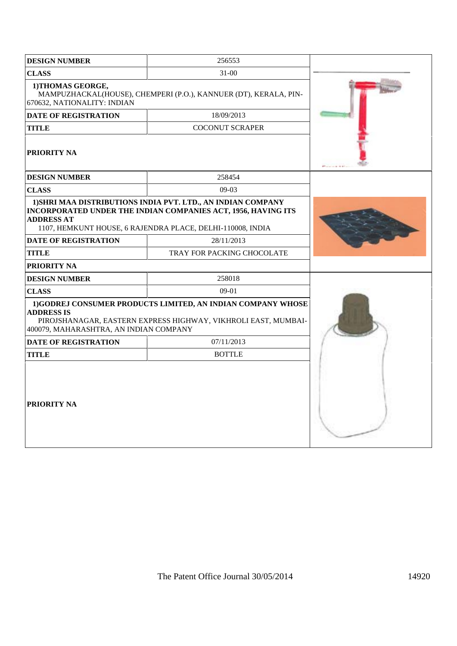| <b>DESIGN NUMBER</b>                                        | 256553                                                                                                                                                                                             |  |
|-------------------------------------------------------------|----------------------------------------------------------------------------------------------------------------------------------------------------------------------------------------------------|--|
| <b>CLASS</b>                                                | $31 - 00$                                                                                                                                                                                          |  |
| 1)THOMAS GEORGE,<br>670632, NATIONALITY: INDIAN             | MAMPUZHACKAL(HOUSE), CHEMPERI (P.O.), KANNUER (DT), KERALA, PIN-                                                                                                                                   |  |
| <b>DATE OF REGISTRATION</b>                                 | 18/09/2013                                                                                                                                                                                         |  |
| <b>TITLE</b>                                                | <b>COCONUT SCRAPER</b>                                                                                                                                                                             |  |
| <b>PRIORITY NA</b>                                          |                                                                                                                                                                                                    |  |
| <b>DESIGN NUMBER</b>                                        | 258454                                                                                                                                                                                             |  |
| <b>CLASS</b>                                                | $09-03$                                                                                                                                                                                            |  |
| <b>ADDRESS AT</b>                                           | 1) SHRI MAA DISTRIBUTIONS INDIA PVT. LTD., AN INDIAN COMPANY<br><b>INCORPORATED UNDER THE INDIAN COMPANIES ACT, 1956, HAVING ITS</b><br>1107, HEMKUNT HOUSE, 6 RAJENDRA PLACE, DELHI-110008, INDIA |  |
| <b>DATE OF REGISTRATION</b>                                 | 28/11/2013                                                                                                                                                                                         |  |
| <b>TITLE</b>                                                | TRAY FOR PACKING CHOCOLATE                                                                                                                                                                         |  |
| PRIORITY NA                                                 |                                                                                                                                                                                                    |  |
| <b>DESIGN NUMBER</b>                                        | 258018                                                                                                                                                                                             |  |
| <b>CLASS</b>                                                | $09-01$                                                                                                                                                                                            |  |
| <b>ADDRESS IS</b><br>400079, MAHARASHTRA, AN INDIAN COMPANY | 1)GODREJ CONSUMER PRODUCTS LIMITED, AN INDIAN COMPANY WHOSE<br>PIROJSHANAGAR, EASTERN EXPRESS HIGHWAY, VIKHROLI EAST, MUMBAI-                                                                      |  |
| <b>DATE OF REGISTRATION</b>                                 | 07/11/2013                                                                                                                                                                                         |  |
| <b>TITLE</b>                                                | <b>BOTTLE</b>                                                                                                                                                                                      |  |
| <b>PRIORITY NA</b>                                          |                                                                                                                                                                                                    |  |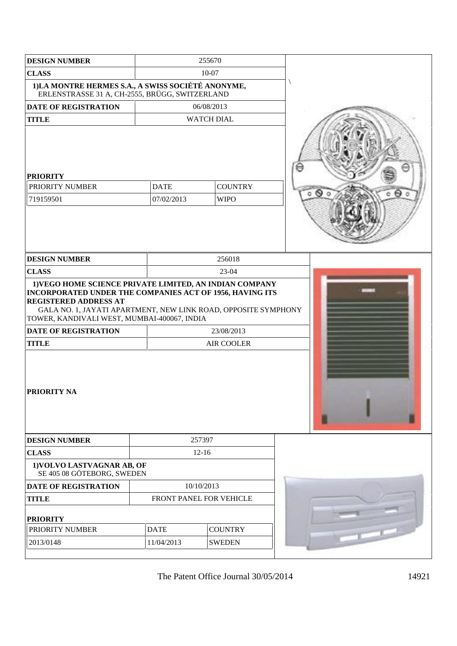| <b>DESIGN NUMBER</b>                                                                                                                                                                                                                                                           |                           | 255670                        |                                             |
|--------------------------------------------------------------------------------------------------------------------------------------------------------------------------------------------------------------------------------------------------------------------------------|---------------------------|-------------------------------|---------------------------------------------|
| <b>CLASS</b>                                                                                                                                                                                                                                                                   |                           | $10 - 07$                     |                                             |
| 1)LA MONTRE HERMES S.A., A SWISS SOCIÉTÉ ANONYME,<br>ERLENSTRASSE 31 A, CH-2555, BRÜGG, SWITZERLAND                                                                                                                                                                            |                           |                               |                                             |
| <b>DATE OF REGISTRATION</b>                                                                                                                                                                                                                                                    |                           | 06/08/2013                    |                                             |
| <b>TITLE</b>                                                                                                                                                                                                                                                                   |                           | <b>WATCH DIAL</b>             |                                             |
| <b>PRIORITY</b><br>PRIORITY NUMBER<br>719159501                                                                                                                                                                                                                                | <b>DATE</b><br>07/02/2013 | <b>COUNTRY</b><br><b>WIPO</b> | $\circ$ $\circ$<br>$\circ$ $\Theta$ $\circ$ |
| <b>DESIGN NUMBER</b>                                                                                                                                                                                                                                                           |                           | 256018                        |                                             |
| <b>CLASS</b>                                                                                                                                                                                                                                                                   |                           | 23-04                         |                                             |
| INCORPORATED UNDER THE COMPANIES ACT OF 1956, HAVING ITS<br><b>REGISTERED ADDRESS AT</b><br>GALA NO. 1, JAYATI APARTMENT, NEW LINK ROAD, OPPOSITE SYMPHONY<br>TOWER, KANDIVALI WEST, MUMBAI-400067, INDIA<br><b>DATE OF REGISTRATION</b><br><b>TITLE</b><br><b>PRIORITY NA</b> |                           | 23/08/2013<br>AIR COOLER      |                                             |
| <b>DESIGN NUMBER</b>                                                                                                                                                                                                                                                           |                           | 257397                        |                                             |
| <b>CLASS</b>                                                                                                                                                                                                                                                                   | $12 - 16$                 |                               |                                             |
| 1) VOLVO LASTVAGNAR AB, OF<br>SE 405 08 GÖTEBORG, SWEDEN                                                                                                                                                                                                                       |                           |                               |                                             |
| <b>DATE OF REGISTRATION</b>                                                                                                                                                                                                                                                    | 10/10/2013                |                               |                                             |
| <b>TITLE</b><br><b>PRIORITY</b>                                                                                                                                                                                                                                                |                           | FRONT PANEL FOR VEHICLE       |                                             |
| PRIORITY NUMBER                                                                                                                                                                                                                                                                | <b>DATE</b>               | <b>COUNTRY</b>                |                                             |
| 2013/0148                                                                                                                                                                                                                                                                      | 11/04/2013                | <b>SWEDEN</b>                 |                                             |
|                                                                                                                                                                                                                                                                                |                           |                               |                                             |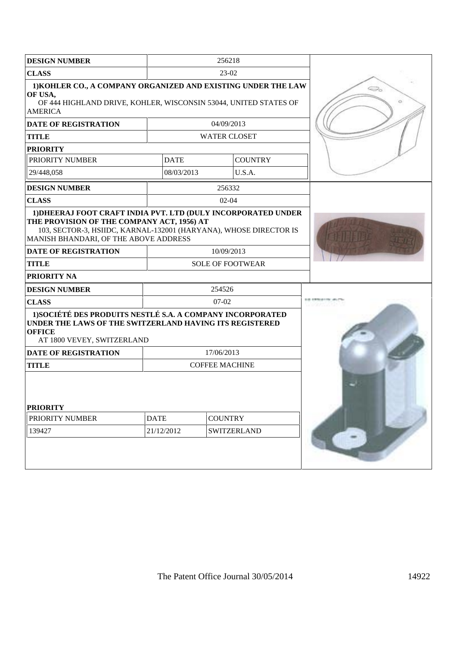|                                                                                                                                                                | 256218                                                                                           |                                                                                                                                                                                                                                                                                                                                  |  |  |
|----------------------------------------------------------------------------------------------------------------------------------------------------------------|--------------------------------------------------------------------------------------------------|----------------------------------------------------------------------------------------------------------------------------------------------------------------------------------------------------------------------------------------------------------------------------------------------------------------------------------|--|--|
|                                                                                                                                                                | 23-02                                                                                            |                                                                                                                                                                                                                                                                                                                                  |  |  |
| 1) KOHLER CO., A COMPANY ORGANIZED AND EXISTING UNDER THE LAW<br>OF USA,<br>OF 444 HIGHLAND DRIVE, KOHLER, WISCONSIN 53044, UNITED STATES OF<br><b>AMERICA</b> |                                                                                                  |                                                                                                                                                                                                                                                                                                                                  |  |  |
|                                                                                                                                                                | 04/09/2013                                                                                       |                                                                                                                                                                                                                                                                                                                                  |  |  |
|                                                                                                                                                                |                                                                                                  |                                                                                                                                                                                                                                                                                                                                  |  |  |
|                                                                                                                                                                |                                                                                                  |                                                                                                                                                                                                                                                                                                                                  |  |  |
| <b>DATE</b>                                                                                                                                                    | <b>COUNTRY</b>                                                                                   |                                                                                                                                                                                                                                                                                                                                  |  |  |
| 08/03/2013                                                                                                                                                     | U.S.A.                                                                                           |                                                                                                                                                                                                                                                                                                                                  |  |  |
|                                                                                                                                                                | 256332                                                                                           |                                                                                                                                                                                                                                                                                                                                  |  |  |
|                                                                                                                                                                | $02 - 04$                                                                                        |                                                                                                                                                                                                                                                                                                                                  |  |  |
|                                                                                                                                                                |                                                                                                  |                                                                                                                                                                                                                                                                                                                                  |  |  |
|                                                                                                                                                                | 10/09/2013                                                                                       |                                                                                                                                                                                                                                                                                                                                  |  |  |
| <b>SOLE OF FOOTWEAR</b>                                                                                                                                        |                                                                                                  |                                                                                                                                                                                                                                                                                                                                  |  |  |
|                                                                                                                                                                |                                                                                                  |                                                                                                                                                                                                                                                                                                                                  |  |  |
|                                                                                                                                                                | 254526                                                                                           |                                                                                                                                                                                                                                                                                                                                  |  |  |
|                                                                                                                                                                | $07 - 02$                                                                                        |                                                                                                                                                                                                                                                                                                                                  |  |  |
|                                                                                                                                                                |                                                                                                  |                                                                                                                                                                                                                                                                                                                                  |  |  |
|                                                                                                                                                                | 17/06/2013                                                                                       |                                                                                                                                                                                                                                                                                                                                  |  |  |
| <b>COFFEE MACHINE</b>                                                                                                                                          |                                                                                                  |                                                                                                                                                                                                                                                                                                                                  |  |  |
| <b>COUNTRY</b><br>SWITZERLAND                                                                                                                                  |                                                                                                  |                                                                                                                                                                                                                                                                                                                                  |  |  |
|                                                                                                                                                                | MANISH BHANDARI, OF THE ABOVE ADDRESS<br>AT 1800 VEVEY, SWITZERLAND<br><b>DATE</b><br>21/12/2012 | <b>WATER CLOSET</b><br>1) DHEERAJ FOOT CRAFT INDIA PVT. LTD (DULY INCORPORATED UNDER<br>THE PROVISION OF THE COMPANY ACT, 1956) AT<br>103, SECTOR-3, HSIIDC, KARNAL-132001 (HARYANA), WHOSE DIRECTOR IS<br>1) SOCIÉTÉ DES PRODUITS NESTLÉ S.A. A COMPANY INCORPORATED<br>UNDER THE LAWS OF THE SWITZERLAND HAVING ITS REGISTERED |  |  |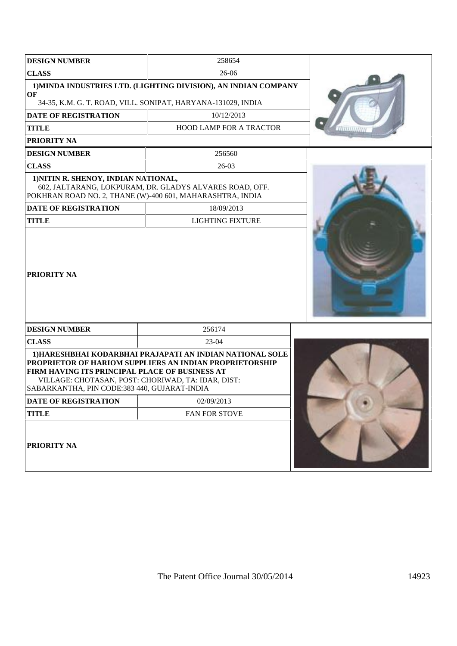| <b>DESIGN NUMBER</b>                                                                           | 258654                                                                                                                                                                     |  |
|------------------------------------------------------------------------------------------------|----------------------------------------------------------------------------------------------------------------------------------------------------------------------------|--|
| <b>CLASS</b><br>26-06                                                                          |                                                                                                                                                                            |  |
| OF                                                                                             | 1) MINDA INDUSTRIES LTD. (LIGHTING DIVISION), AN INDIAN COMPANY                                                                                                            |  |
|                                                                                                | 34-35, K.M. G. T. ROAD, VILL. SONIPAT, HARYANA-131029, INDIA                                                                                                               |  |
| <b>DATE OF REGISTRATION</b>                                                                    | 10/12/2013                                                                                                                                                                 |  |
| <b>TITLE</b>                                                                                   | <b>HOOD LAMP FOR A TRACTOR</b>                                                                                                                                             |  |
| PRIORITY NA                                                                                    |                                                                                                                                                                            |  |
| <b>DESIGN NUMBER</b>                                                                           | 256560                                                                                                                                                                     |  |
| <b>CLASS</b>                                                                                   | $26-03$                                                                                                                                                                    |  |
| 1) NITIN R. SHENOY, INDIAN NATIONAL,                                                           | 602, JALTARANG, LOKPURAM, DR. GLADYS ALVARES ROAD, OFF.<br>POKHRAN ROAD NO. 2, THANE (W)-400 601, MAHARASHTRA, INDIA                                                       |  |
| <b>DATE OF REGISTRATION</b>                                                                    | 18/09/2013                                                                                                                                                                 |  |
| <b>TITLE</b>                                                                                   | <b>LIGHTING FIXTURE</b>                                                                                                                                                    |  |
| PRIORITY NA                                                                                    |                                                                                                                                                                            |  |
| <b>DESIGN NUMBER</b>                                                                           | 256174                                                                                                                                                                     |  |
| <b>CLASS</b>                                                                                   | $23-04$                                                                                                                                                                    |  |
| FIRM HAVING ITS PRINCIPAL PLACE OF BUSINESS AT<br>SABARKANTHA, PIN CODE:383 440, GUJARAT-INDIA | 1) HARESHBHAI KODARBHAI PRAJAPATI AN INDIAN NATIONAL SOLE<br>PROPRIETOR OF HARIOM SUPPLIERS AN INDIAN PROPRIETORSHIP<br>VILLAGE: CHOTASAN, POST: CHORIWAD, TA: IDAR, DIST: |  |
| <b>DATE OF REGISTRATION</b>                                                                    | 02/09/2013                                                                                                                                                                 |  |
| <b>TITLE</b>                                                                                   | FAN FOR STOVE                                                                                                                                                              |  |
| <b>PRIORITY NA</b>                                                                             |                                                                                                                                                                            |  |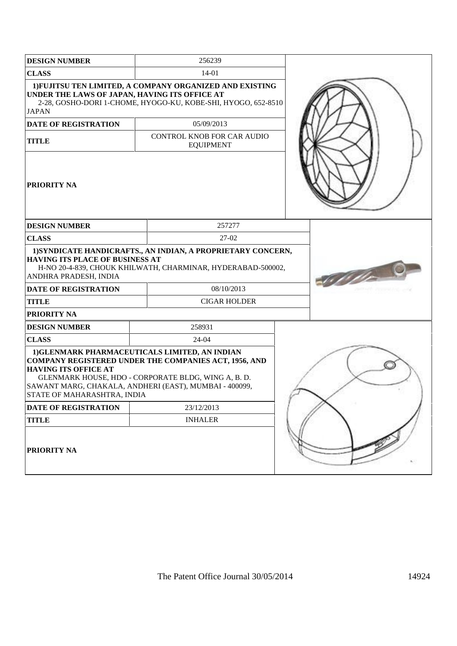| <b>DESIGN NUMBER</b>                                                                           | 256239                                                                                                                                                                                                                          |  |
|------------------------------------------------------------------------------------------------|---------------------------------------------------------------------------------------------------------------------------------------------------------------------------------------------------------------------------------|--|
| <b>CLASS</b>                                                                                   | 14-01                                                                                                                                                                                                                           |  |
| UNDER THE LAWS OF JAPAN, HAVING ITS OFFICE AT<br><b>JAPAN</b>                                  | 1) FUJITSU TEN LIMITED, A COMPANY ORGANIZED AND EXISTING<br>2-28, GOSHO-DORI 1-CHOME, HYOGO-KU, KOBE-SHI, HYOGO, 652-8510                                                                                                       |  |
| DATE OF REGISTRATION                                                                           | 05/09/2013                                                                                                                                                                                                                      |  |
| <b>TITLE</b>                                                                                   | CONTROL KNOB FOR CAR AUDIO<br><b>EQUIPMENT</b>                                                                                                                                                                                  |  |
| <b>PRIORITY NA</b>                                                                             |                                                                                                                                                                                                                                 |  |
| <b>DESIGN NUMBER</b>                                                                           | 257277                                                                                                                                                                                                                          |  |
| <b>CLASS</b>                                                                                   | 27-02                                                                                                                                                                                                                           |  |
| <b>HAVING ITS PLACE OF BUSINESS AT</b><br>ANDHRA PRADESH, INDIA<br><b>DATE OF REGISTRATION</b> | 1) SYNDICATE HANDICRAFTS., AN INDIAN, A PROPRIETARY CONCERN,<br>H-NO 20-4-839, CHOUK KHILWATH, CHARMINAR, HYDERABAD-500002,<br>08/10/2013                                                                                       |  |
| <b>TITLE</b>                                                                                   | <b>CIGAR HOLDER</b>                                                                                                                                                                                                             |  |
| PRIORITY NA                                                                                    |                                                                                                                                                                                                                                 |  |
| <b>DESIGN NUMBER</b>                                                                           | 258931                                                                                                                                                                                                                          |  |
| <b>CLASS</b>                                                                                   | 24-04                                                                                                                                                                                                                           |  |
| <b>HAVING ITS OFFICE AT</b><br>STATE OF MAHARASHTRA, INDIA                                     | 1) GLENMARK PHARMACEUTICALS LIMITED, AN INDIAN<br><b>COMPANY REGISTERED UNDER THE COMPANIES ACT, 1956, AND</b><br>GLENMARK HOUSE, HDO - CORPORATE BLDG, WING A, B. D.<br>SAWANT MARG, CHAKALA, ANDHERI (EAST), MUMBAI - 400099, |  |
| DATE OF REGISTRATION                                                                           | 23/12/2013                                                                                                                                                                                                                      |  |
| <b>TITLE</b>                                                                                   | <b>INHALER</b>                                                                                                                                                                                                                  |  |
| PRIORITY NA                                                                                    |                                                                                                                                                                                                                                 |  |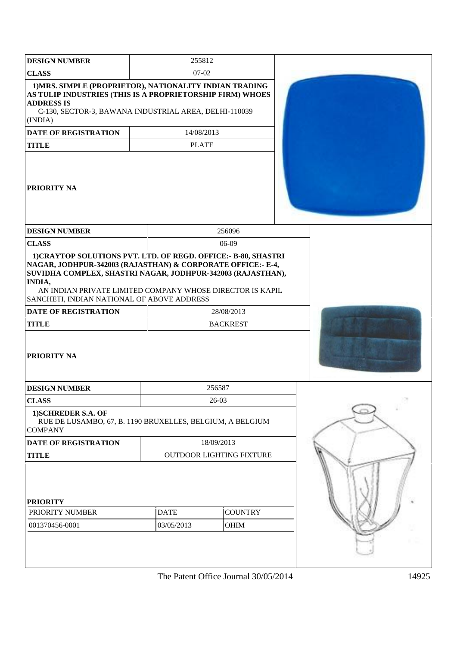| <b>DESIGN NUMBER</b>                                                                                                                                                                                                                           | 255812                    |                                 |  |
|------------------------------------------------------------------------------------------------------------------------------------------------------------------------------------------------------------------------------------------------|---------------------------|---------------------------------|--|
| <b>CLASS</b>                                                                                                                                                                                                                                   | $07 - 02$                 |                                 |  |
| 1) MRS. SIMPLE (PROPRIETOR), NATIONALITY INDIAN TRADING<br>AS TULIP INDUSTRIES (THIS IS A PROPRIETORSHIP FIRM) WHOES<br><b>ADDRESS IS</b><br>C-130, SECTOR-3, BAWANA INDUSTRIAL AREA, DELHI-110039<br>(INDIA)                                  |                           |                                 |  |
| <b>DATE OF REGISTRATION</b>                                                                                                                                                                                                                    | 14/08/2013                |                                 |  |
| <b>TITLE</b>                                                                                                                                                                                                                                   | <b>PLATE</b>              |                                 |  |
| PRIORITY NA                                                                                                                                                                                                                                    |                           |                                 |  |
| <b>DESIGN NUMBER</b>                                                                                                                                                                                                                           |                           | 256096                          |  |
| <b>CLASS</b>                                                                                                                                                                                                                                   |                           | 06-09                           |  |
| SUVIDHA COMPLEX, SHASTRI NAGAR, JODHPUR-342003 (RAJASTHAN),<br>INDIA,<br>AN INDIAN PRIVATE LIMITED COMPANY WHOSE DIRECTOR IS KAPIL<br>SANCHETI, INDIAN NATIONAL OF ABOVE ADDRESS<br><b>DATE OF REGISTRATION</b><br><b>TITLE</b><br>PRIORITY NA |                           | 28/08/2013<br><b>BACKREST</b>   |  |
| <b>DESIGN NUMBER</b>                                                                                                                                                                                                                           |                           | 256587                          |  |
| <b>CLASS</b>                                                                                                                                                                                                                                   |                           | $26-03$                         |  |
| 1) SCHREDER S.A. OF<br>RUE DE LUSAMBO, 67, B. 1190 BRUXELLES, BELGIUM, A BELGIUM<br><b>COMPANY</b>                                                                                                                                             |                           |                                 |  |
| <b>DATE OF REGISTRATION</b>                                                                                                                                                                                                                    |                           | 18/09/2013                      |  |
| <b>TITLE</b>                                                                                                                                                                                                                                   |                           | <b>OUTDOOR LIGHTING FIXTURE</b> |  |
| <b>PRIORITY</b><br>PRIORITY NUMBER<br>001370456-0001                                                                                                                                                                                           | <b>DATE</b><br>03/05/2013 | <b>COUNTRY</b><br>OHIM          |  |
|                                                                                                                                                                                                                                                |                           |                                 |  |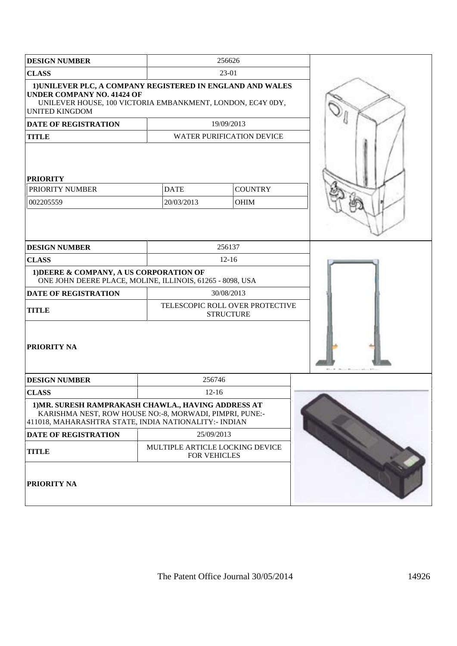| <b>DESIGN NUMBER</b>                                                                                                                                                                   |                                                 | 256626                                              |  |
|----------------------------------------------------------------------------------------------------------------------------------------------------------------------------------------|-------------------------------------------------|-----------------------------------------------------|--|
| <b>CLASS</b>                                                                                                                                                                           |                                                 | 23-01                                               |  |
| 1) UNILEVER PLC, A COMPANY REGISTERED IN ENGLAND AND WALES<br><b>UNDER COMPANY NO. 41424 OF</b><br>UNILEVER HOUSE, 100 VICTORIA EMBANKMENT, LONDON, EC4Y 0DY,<br><b>UNITED KINGDOM</b> |                                                 |                                                     |  |
| <b>DATE OF REGISTRATION</b>                                                                                                                                                            |                                                 | 19/09/2013                                          |  |
| <b>TITLE</b>                                                                                                                                                                           |                                                 | WATER PURIFICATION DEVICE                           |  |
| <b>PRIORITY</b><br>PRIORITY NUMBER                                                                                                                                                     | <b>DATE</b>                                     | <b>COUNTRY</b>                                      |  |
| 002205559                                                                                                                                                                              | 20/03/2013                                      | OHIM                                                |  |
|                                                                                                                                                                                        |                                                 |                                                     |  |
| <b>DESIGN NUMBER</b>                                                                                                                                                                   |                                                 | 256137                                              |  |
| <b>CLASS</b>                                                                                                                                                                           |                                                 | $12-16$                                             |  |
| 1) DEERE & COMPANY, A US CORPORATION OF<br>ONE JOHN DEERE PLACE, MOLINE, ILLINOIS, 61265 - 8098, USA                                                                                   |                                                 |                                                     |  |
| <b>DATE OF REGISTRATION</b>                                                                                                                                                            |                                                 | 30/08/2013                                          |  |
| <b>TITLE</b>                                                                                                                                                                           |                                                 | TELESCOPIC ROLL OVER PROTECTIVE<br><b>STRUCTURE</b> |  |
| PRIORITY NA                                                                                                                                                                            |                                                 |                                                     |  |
| <b>DESIGN NUMBER</b>                                                                                                                                                                   | 256746                                          |                                                     |  |
| <b>CLASS</b>                                                                                                                                                                           | $12 - 16$                                       |                                                     |  |
| 1) MR. SURESH RAMPRAKASH CHAWLA., HAVING ADDRESS AT<br>KARISHMA NEST, ROW HOUSE NO:-8, MORWADI, PIMPRI, PUNE:-<br>411018, MAHARASHTRA STATE, INDIA NATIONALITY: - INDIAN               |                                                 |                                                     |  |
| DATE OF REGISTRATION                                                                                                                                                                   | 25/09/2013                                      |                                                     |  |
| <b>TITLE</b>                                                                                                                                                                           | MULTIPLE ARTICLE LOCKING DEVICE<br>FOR VEHICLES |                                                     |  |
| PRIORITY NA                                                                                                                                                                            |                                                 |                                                     |  |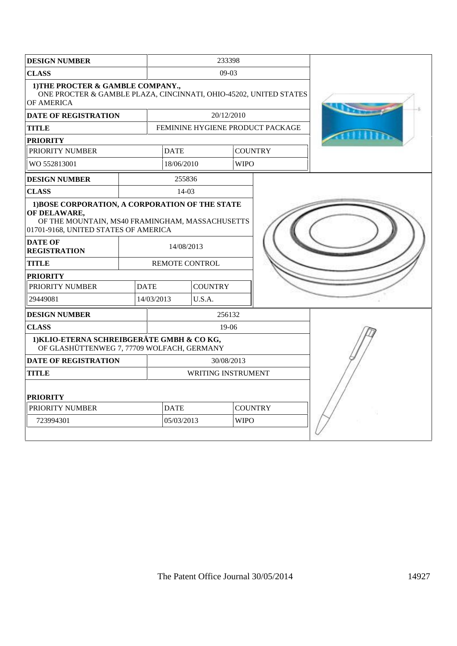| <b>DESIGN NUMBER</b>                                                                                                 |                                                                                                                                                          | 233398                        |                |                |                                  |  |
|----------------------------------------------------------------------------------------------------------------------|----------------------------------------------------------------------------------------------------------------------------------------------------------|-------------------------------|----------------|----------------|----------------------------------|--|
| <b>CLASS</b>                                                                                                         |                                                                                                                                                          | $09-03$                       |                |                |                                  |  |
| 1) THE PROCTER & GAMBLE COMPANY.,<br>ONE PROCTER & GAMBLE PLAZA, CINCINNATI, OHIO-45202, UNITED STATES<br>OF AMERICA |                                                                                                                                                          |                               |                |                |                                  |  |
| <b>DATE OF REGISTRATION</b>                                                                                          |                                                                                                                                                          | 20/12/2010                    |                |                |                                  |  |
| <b>TITLE</b>                                                                                                         |                                                                                                                                                          |                               |                |                | FEMININE HYGIENE PRODUCT PACKAGE |  |
| <b>PRIORITY</b>                                                                                                      |                                                                                                                                                          |                               |                |                |                                  |  |
| PRIORITY NUMBER                                                                                                      |                                                                                                                                                          | <b>DATE</b>                   |                | <b>COUNTRY</b> |                                  |  |
| WO 552813001                                                                                                         |                                                                                                                                                          | 18/06/2010                    |                | <b>WIPO</b>    |                                  |  |
| <b>DESIGN NUMBER</b>                                                                                                 |                                                                                                                                                          | 255836                        |                |                |                                  |  |
| <b>CLASS</b>                                                                                                         |                                                                                                                                                          | $14-03$                       |                |                |                                  |  |
| OF DELAWARE,<br><b>DATE OF</b><br><b>REGISTRATION</b>                                                                | 1) BOSE CORPORATION, A CORPORATION OF THE STATE<br>OF THE MOUNTAIN, MS40 FRAMINGHAM, MASSACHUSETTS<br>01701-9168, UNITED STATES OF AMERICA<br>14/08/2013 |                               |                |                |                                  |  |
| <b>TITLE</b>                                                                                                         |                                                                                                                                                          | <b>REMOTE CONTROL</b>         |                |                |                                  |  |
| <b>PRIORITY</b>                                                                                                      |                                                                                                                                                          |                               |                |                |                                  |  |
| PRIORITY NUMBER                                                                                                      | <b>DATE</b>                                                                                                                                              |                               | <b>COUNTRY</b> |                |                                  |  |
| 29449081                                                                                                             |                                                                                                                                                          | 14/03/2013                    | U.S.A.         |                |                                  |  |
| <b>DESIGN NUMBER</b>                                                                                                 |                                                                                                                                                          |                               | 256132         |                |                                  |  |
| <b>CLASS</b>                                                                                                         |                                                                                                                                                          |                               | $19-06$        |                |                                  |  |
| 1) KLIO-ETERNA SCHREIBGERÄTE GMBH & CO KG,<br>OF GLASHÜTTENWEG 7, 77709 WOLFACH, GERMANY                             |                                                                                                                                                          |                               |                |                |                                  |  |
| <b>DATE OF REGISTRATION</b><br>30/08/2013                                                                            |                                                                                                                                                          |                               |                |                |                                  |  |
| <b>TITLE</b>                                                                                                         |                                                                                                                                                          | WRITING INSTRUMENT            |                |                |                                  |  |
| <b>PRIORITY</b>                                                                                                      |                                                                                                                                                          |                               |                |                |                                  |  |
| PRIORITY NUMBER                                                                                                      |                                                                                                                                                          | <b>COUNTRY</b><br><b>DATE</b> |                |                |                                  |  |
| 723994301                                                                                                            |                                                                                                                                                          | <b>WIPO</b><br>05/03/2013     |                |                |                                  |  |
|                                                                                                                      |                                                                                                                                                          |                               |                |                |                                  |  |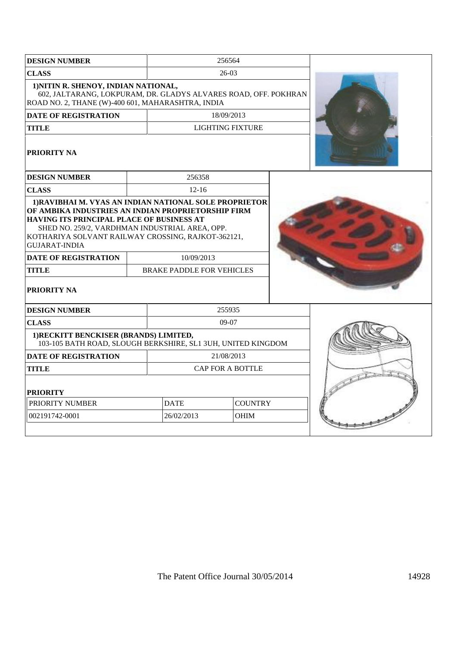| <b>DESIGN NUMBER</b>                                                                                                                                         |                                                                                                                                                                                                                                                                        |                         | 256564                  |  |  |
|--------------------------------------------------------------------------------------------------------------------------------------------------------------|------------------------------------------------------------------------------------------------------------------------------------------------------------------------------------------------------------------------------------------------------------------------|-------------------------|-------------------------|--|--|
| $26-03$<br><b>CLASS</b>                                                                                                                                      |                                                                                                                                                                                                                                                                        |                         |                         |  |  |
| 1) NITIN R. SHENOY, INDIAN NATIONAL,<br>602, JALTARANG, LOKPURAM, DR. GLADYS ALVARES ROAD, OFF. POKHRAN<br>ROAD NO. 2, THANE (W)-400 601, MAHARASHTRA, INDIA |                                                                                                                                                                                                                                                                        |                         |                         |  |  |
| <b>DATE OF REGISTRATION</b>                                                                                                                                  |                                                                                                                                                                                                                                                                        |                         | 18/09/2013              |  |  |
| TITLE                                                                                                                                                        |                                                                                                                                                                                                                                                                        |                         | <b>LIGHTING FIXTURE</b> |  |  |
| <b>PRIORITY NA</b>                                                                                                                                           |                                                                                                                                                                                                                                                                        |                         |                         |  |  |
| <b>DESIGN NUMBER</b>                                                                                                                                         |                                                                                                                                                                                                                                                                        | 256358                  |                         |  |  |
| <b>CLASS</b>                                                                                                                                                 |                                                                                                                                                                                                                                                                        | $12 - 16$               |                         |  |  |
| HAVING ITS PRINCIPAL PLACE OF BUSINESS AT<br><b>GUJARAT-INDIA</b><br><b>DATE OF REGISTRATION</b><br><b>TITLE</b><br><b>PRIORITY NA</b>                       | 1) RAVIBHAI M. VYAS AN INDIAN NATIONAL SOLE PROPRIETOR<br>OF AMBIKA INDUSTRIES AN INDIAN PROPRIETORSHIP FIRM<br>SHED NO. 259/2, VARDHMAN INDUSTRIAL AREA, OPP.<br>KOTHARIYA SOLVANT RAILWAY CROSSING, RAJKOT-362121,<br>10/09/2013<br><b>BRAKE PADDLE FOR VEHICLES</b> |                         |                         |  |  |
| <b>DESIGN NUMBER</b>                                                                                                                                         | 255935                                                                                                                                                                                                                                                                 |                         |                         |  |  |
| <b>CLASS</b>                                                                                                                                                 | $09-07$                                                                                                                                                                                                                                                                |                         |                         |  |  |
| 1) RECKITT BENCKISER (BRANDS) LIMITED,<br>103-105 BATH ROAD, SLOUGH BERKSHIRE, SL1 3UH, UNITED KINGDOM                                                       |                                                                                                                                                                                                                                                                        |                         |                         |  |  |
| <b>DATE OF REGISTRATION</b>                                                                                                                                  | 21/08/2013                                                                                                                                                                                                                                                             |                         |                         |  |  |
| <b>TITLE</b>                                                                                                                                                 |                                                                                                                                                                                                                                                                        | <b>CAP FOR A BOTTLE</b> |                         |  |  |
| <b>PRIORITY</b><br>PRIORITY NUMBER                                                                                                                           |                                                                                                                                                                                                                                                                        | <b>DATE</b>             | <b>COUNTRY</b>          |  |  |
| 002191742-0001<br>26/02/2013                                                                                                                                 |                                                                                                                                                                                                                                                                        |                         | <b>OHIM</b>             |  |  |
|                                                                                                                                                              |                                                                                                                                                                                                                                                                        |                         |                         |  |  |
|                                                                                                                                                              |                                                                                                                                                                                                                                                                        |                         |                         |  |  |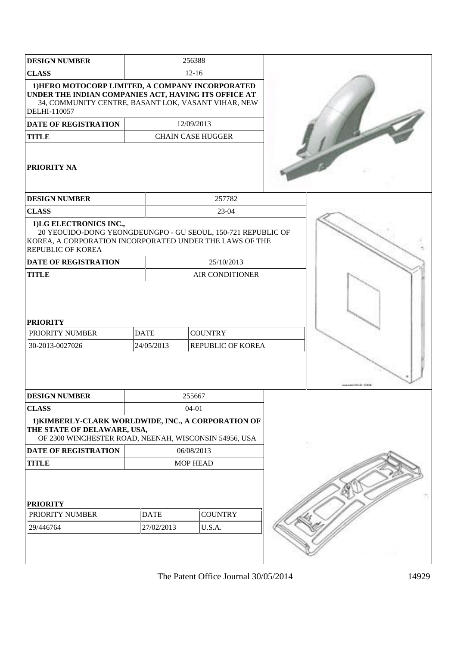| <b>DESIGN NUMBER</b>                                                                                                                                                            | 256388                    |                          |                        |  |
|---------------------------------------------------------------------------------------------------------------------------------------------------------------------------------|---------------------------|--------------------------|------------------------|--|
| <b>CLASS</b>                                                                                                                                                                    | $12-16$                   |                          |                        |  |
| 1) HERO MOTOCORP LIMITED, A COMPANY INCORPORATED<br>UNDER THE INDIAN COMPANIES ACT, HAVING ITS OFFICE AT<br>34, COMMUNITY CENTRE, BASANT LOK, VASANT VIHAR, NEW<br>DELHI-110057 |                           |                          |                        |  |
| <b>DATE OF REGISTRATION</b>                                                                                                                                                     | 12/09/2013                |                          |                        |  |
| <b>TITLE</b>                                                                                                                                                                    |                           | <b>CHAIN CASE HUGGER</b> |                        |  |
| <b>PRIORITY NA</b>                                                                                                                                                              |                           |                          |                        |  |
| <b>DESIGN NUMBER</b>                                                                                                                                                            |                           |                          | 257782                 |  |
| <b>CLASS</b>                                                                                                                                                                    |                           |                          | 23-04                  |  |
| 1)LG ELECTRONICS INC.,<br>20 YEOUIDO-DONG YEONGDEUNGPO - GU SEOUL, 150-721 REPUBLIC OF<br>KOREA, A CORPORATION INCORPORATED UNDER THE LAWS OF THE<br>REPUBLIC OF KOREA          |                           |                          |                        |  |
| <b>DATE OF REGISTRATION</b>                                                                                                                                                     |                           |                          | 25/10/2013             |  |
| <b>TITLE</b>                                                                                                                                                                    |                           |                          | <b>AIR CONDITIONER</b> |  |
| <b>PRIORITY</b><br>PRIORITY NUMBER<br>30-2013-0027026                                                                                                                           | <b>DATE</b><br>24/05/2013 | <b>COUNTRY</b>           | REPUBLIC OF KOREA      |  |
| <b>DESIGN NUMBER</b>                                                                                                                                                            |                           | 255667                   |                        |  |
| <b>CLASS</b>                                                                                                                                                                    |                           | $04 - 01$                |                        |  |
| 1) KIMBERLY-CLARK WORLDWIDE, INC., A CORPORATION OF<br>THE STATE OF DELAWARE, USA,<br>OF 2300 WINCHESTER ROAD, NEENAH, WISCONSIN 54956, USA                                     |                           |                          |                        |  |
| <b>DATE OF REGISTRATION</b>                                                                                                                                                     | 06/08/2013                |                          |                        |  |
| <b>TITLE</b>                                                                                                                                                                    |                           | MOP HEAD                 |                        |  |
| <b>PRIORITY</b>                                                                                                                                                                 |                           |                          |                        |  |
| PRIORITY NUMBER                                                                                                                                                                 | <b>DATE</b>               |                          | <b>COUNTRY</b>         |  |
| 29/446764                                                                                                                                                                       | 27/02/2013                | U.S.A.                   |                        |  |
|                                                                                                                                                                                 |                           |                          |                        |  |